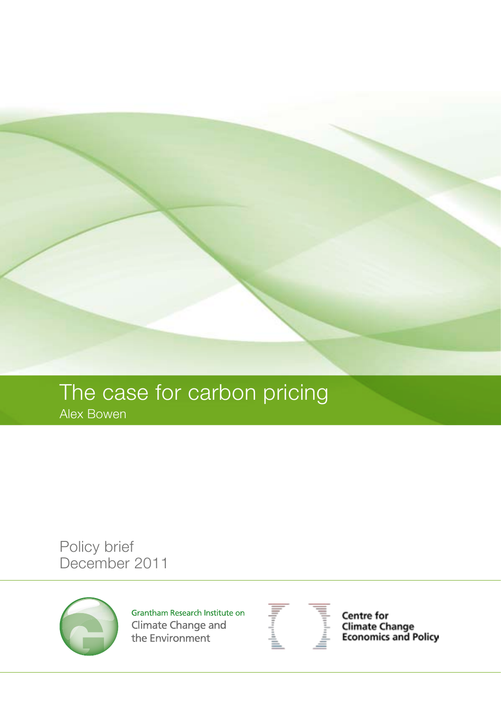

# The case for carbon pricing

Alex Bowen

Policy brief December 2011



Grantham Research Institute on Climate Change and the Environment



Centre for **Climate Change<br>Economics and Policy**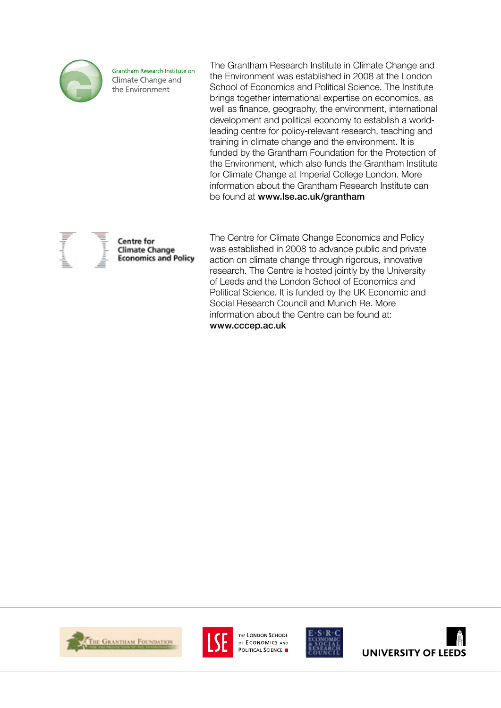

Grantham Research Institute on Climate Change and the Environment

The Grantham Research Institute in Climate Change and the Environment was established in 2008 at the London School of Economics and Political Science. The Institute brings together international expertise on economics, as well as finance, geography, the environment, international development and political economy to establish a worldleading centre for policy-relevant research, teaching and training in climate change and the environment. It is funded by the Grantham Foundation for the Protection of the Environment, which also funds the Grantham Institute for Climate Change at Imperial College London. More information about the Grantham Research Institute can be found at www.lse.ac.uk/grantham

Centre for **Climate Change Economics and Policy** 

The Centre for Climate Change Economics and Policy was established in 2008 to advance public and private action on climate change through rigorous, innovative research. The Centre is hosted jointly by the University of Leeds and the London School of Economics and Political Science. It is funded by the UK Economic and Social Research Council and Munich Re. More information about the Centre can be found at: www.cccep.ac.uk





THE LONDON SCHOOL OF ECONOMICS AND POLITICAL SCIENCE



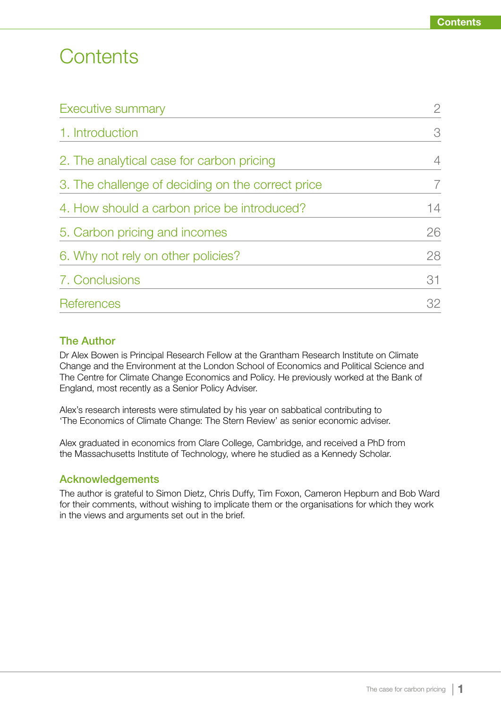# **Contents**

| Executive summary                                 | $\overline{2}$ |
|---------------------------------------------------|----------------|
| 1. Introduction                                   | 3              |
| 2. The analytical case for carbon pricing         | 4              |
| 3. The challenge of deciding on the correct price |                |
| 4. How should a carbon price be introduced?       | 14             |
| 5. Carbon pricing and incomes                     | 26             |
| 6. Why not rely on other policies?                | 28             |
| 7. Conclusions                                    | 31             |
| References                                        | 32             |

### The Author

Dr Alex Bowen is Principal Research Fellow at the Grantham Research Institute on Climate Change and the Environment at the London School of Economics and Political Science and The Centre for Climate Change Economics and Policy. He previously worked at the Bank of England, most recently as a Senior Policy Adviser.

Alex's research interests were stimulated by his year on sabbatical contributing to 'The Economics of Climate Change: The Stern Review' as senior economic adviser.

Alex graduated in economics from Clare College, Cambridge, and received a PhD from the Massachusetts Institute of Technology, where he studied as a Kennedy Scholar.

# Acknowledgements

The author is grateful to Simon Dietz, Chris Duffy, Tim Foxon, Cameron Hepburn and Bob Ward for their comments, without wishing to implicate them or the organisations for which they work in the views and arguments set out in the brief.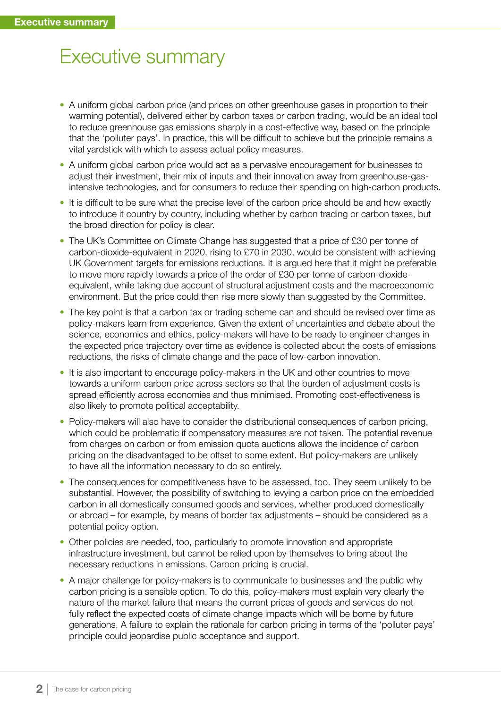# Executive summary

- A uniform global carbon price (and prices on other greenhouse gases in proportion to their warming potential), delivered either by carbon taxes or carbon trading, would be an ideal tool to reduce greenhouse gas emissions sharply in a cost-effective way, based on the principle that the 'polluter pays'. In practice, this will be difficult to achieve but the principle remains a vital yardstick with which to assess actual policy measures.
- A uniform global carbon price would act as a pervasive encouragement for businesses to adjust their investment, their mix of inputs and their innovation away from greenhouse-gasintensive technologies, and for consumers to reduce their spending on high-carbon products.
- It is difficult to be sure what the precise level of the carbon price should be and how exactly to introduce it country by country, including whether by carbon trading or carbon taxes, but the broad direction for policy is clear.
- The UK's Committee on Climate Change has suggested that a price of £30 per tonne of carbon-dioxide-equivalent in 2020, rising to £70 in 2030, would be consistent with achieving UK Government targets for emissions reductions. It is argued here that it might be preferable to move more rapidly towards a price of the order of £30 per tonne of carbon-dioxideequivalent, while taking due account of structural adjustment costs and the macroeconomic environment. But the price could then rise more slowly than suggested by the Committee.
- The key point is that a carbon tax or trading scheme can and should be revised over time as policy-makers learn from experience. Given the extent of uncertainties and debate about the science, economics and ethics, policy-makers will have to be ready to engineer changes in the expected price trajectory over time as evidence is collected about the costs of emissions reductions, the risks of climate change and the pace of low-carbon innovation.
- It is also important to encourage policy-makers in the UK and other countries to move towards a uniform carbon price across sectors so that the burden of adjustment costs is spread efficiently across economies and thus minimised. Promoting cost-effectiveness is also likely to promote political acceptability.
- Policy-makers will also have to consider the distributional consequences of carbon pricing, which could be problematic if compensatory measures are not taken. The potential revenue from charges on carbon or from emission quota auctions allows the incidence of carbon pricing on the disadvantaged to be offset to some extent. But policy-makers are unlikely to have all the information necessary to do so entirely.
- The consequences for competitiveness have to be assessed, too. They seem unlikely to be substantial. However, the possibility of switching to levying a carbon price on the embedded carbon in all domestically consumed goods and services, whether produced domestically or abroad – for example, by means of border tax adjustments – should be considered as a potential policy option.
- Other policies are needed, too, particularly to promote innovation and appropriate infrastructure investment, but cannot be relied upon by themselves to bring about the necessary reductions in emissions. Carbon pricing is crucial.
- A major challenge for policy-makers is to communicate to businesses and the public why carbon pricing is a sensible option. To do this, policy-makers must explain very clearly the nature of the market failure that means the current prices of goods and services do not fully reflect the expected costs of climate change impacts which will be borne by future generations. A failure to explain the rationale for carbon pricing in terms of the 'polluter pays' principle could jeopardise public acceptance and support.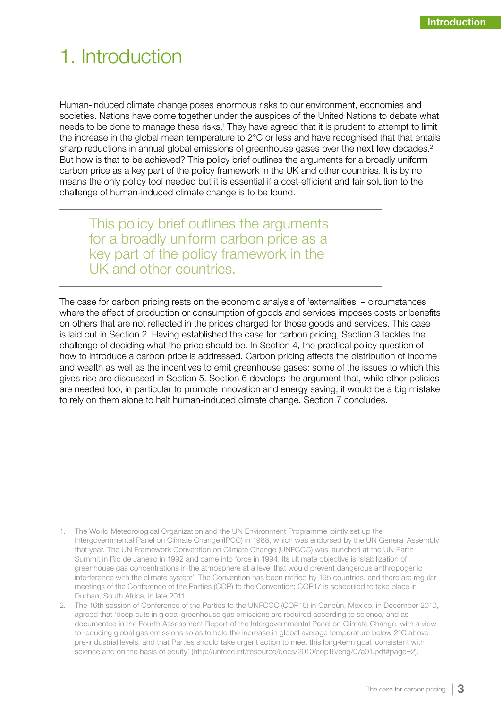# 1. Introduction

Human-induced climate change poses enormous risks to our environment, economies and societies. Nations have come together under the auspices of the United Nations to debate what needs to be done to manage these risks.<sup>1</sup> They have agreed that it is prudent to attempt to limit the increase in the global mean temperature to 2°C or less and have recognised that that entails sharp reductions in annual global emissions of greenhouse gases over the next few decades.<sup>2</sup> But how is that to be achieved? This policy brief outlines the arguments for a broadly uniform carbon price as a key part of the policy framework in the UK and other countries. It is by no means the only policy tool needed but it is essential if a cost-efficient and fair solution to the challenge of human-induced climate change is to be found.

This policy brief outlines the arguments for a broadly uniform carbon price as a key part of the policy framework in the UK and other countries.

The case for carbon pricing rests on the economic analysis of 'externalities' – circumstances where the effect of production or consumption of goods and services imposes costs or benefits on others that are not reflected in the prices charged for those goods and services. This case is laid out in Section 2. Having established the case for carbon pricing, Section 3 tackles the challenge of deciding what the price should be. In Section 4, the practical policy question of how to introduce a carbon price is addressed. Carbon pricing affects the distribution of income and wealth as well as the incentives to emit greenhouse gases; some of the issues to which this gives rise are discussed in Section 5. Section 6 develops the argument that, while other policies are needed too, in particular to promote innovation and energy saving, it would be a big mistake to rely on them alone to halt human-induced climate change. Section 7 concludes.

<sup>1.</sup> The World Meteorological Organization and the UN Environment Programme jointly set up the Intergovernmental Panel on Climate Change (IPCC) in 1988, which was endorsed by the UN General Assembly that year. The UN Framework Convention on Climate Change (UNFCCC) was launched at the UN Earth Summit in Rio de Janeiro in 1992 and came into force in 1994. Its ultimate objective is 'stabilization of greenhouse gas concentrations in the atmosphere at a level that would prevent dangerous anthropogenic interference with the climate system'. The Convention has been ratified by 195 countries, and there are regular meetings of the Conference of the Parties (COP) to the Convention; COP17 is scheduled to take place in Durban, South Africa, in late 2011.

<sup>2.</sup> The 16th session of Conference of the Parties to the UNFCCC (COP16) in Cancùn, Mexico, in December 2010, agreed that 'deep cuts in global greenhouse gas emissions are required according to science, and as documented in the Fourth Assessment Report of the Intergovernmental Panel on Climate Change, with a view to reducing global gas emissions so as to hold the increase in global average temperature below 2°C above pre-industrial levels, and that Parties should take urgent action to meet this long-term goal, consistent with science and on the basis of equity' (http://unfccc.int/resource/docs/2010/cop16/eng/07a01.pdf#page=2).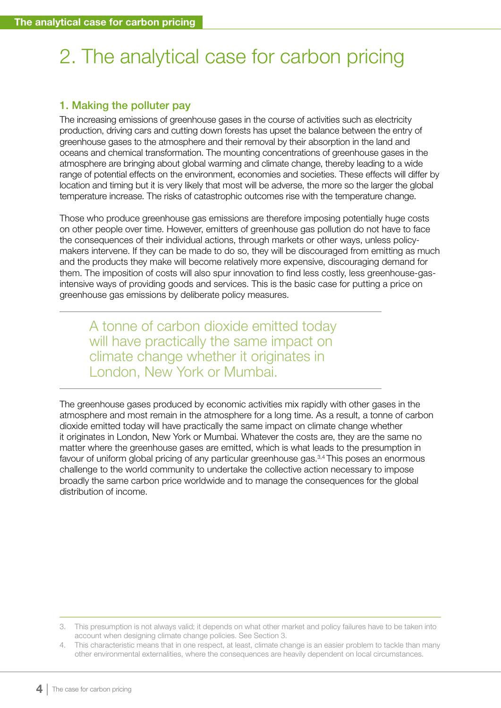# 2. The analytical case for carbon pricing

# 1. Making the polluter pay

The increasing emissions of greenhouse gases in the course of activities such as electricity production, driving cars and cutting down forests has upset the balance between the entry of greenhouse gases to the atmosphere and their removal by their absorption in the land and oceans and chemical transformation. The mounting concentrations of greenhouse gases in the atmosphere are bringing about global warming and climate change, thereby leading to a wide range of potential effects on the environment, economies and societies. These effects will differ by location and timing but it is very likely that most will be adverse, the more so the larger the global temperature increase. The risks of catastrophic outcomes rise with the temperature change.

Those who produce greenhouse gas emissions are therefore imposing potentially huge costs on other people over time. However, emitters of greenhouse gas pollution do not have to face the consequences of their individual actions, through markets or other ways, unless policymakers intervene. If they can be made to do so, they will be discouraged from emitting as much and the products they make will become relatively more expensive, discouraging demand for them. The imposition of costs will also spur innovation to find less costly, less greenhouse-gasintensive ways of providing goods and services. This is the basic case for putting a price on greenhouse gas emissions by deliberate policy measures.

A tonne of carbon dioxide emitted today will have practically the same impact on climate change whether it originates in London, New York or Mumbai.

The greenhouse gases produced by economic activities mix rapidly with other gases in the atmosphere and most remain in the atmosphere for a long time. As a result, a tonne of carbon dioxide emitted today will have practically the same impact on climate change whether it originates in London, New York or Mumbai. Whatever the costs are, they are the same no matter where the greenhouse gases are emitted, which is what leads to the presumption in favour of uniform global pricing of any particular greenhouse gas.<sup>3,4</sup> This poses an enormous challenge to the world community to undertake the collective action necessary to impose broadly the same carbon price worldwide and to manage the consequences for the global distribution of income.

<sup>3.</sup> This presumption is not always valid; it depends on what other market and policy failures have to be taken into account when designing climate change policies. See Section 3.

<sup>4.</sup> This characteristic means that in one respect, at least, climate change is an easier problem to tackle than many other environmental externalities, where the consequences are heavily dependent on local circumstances.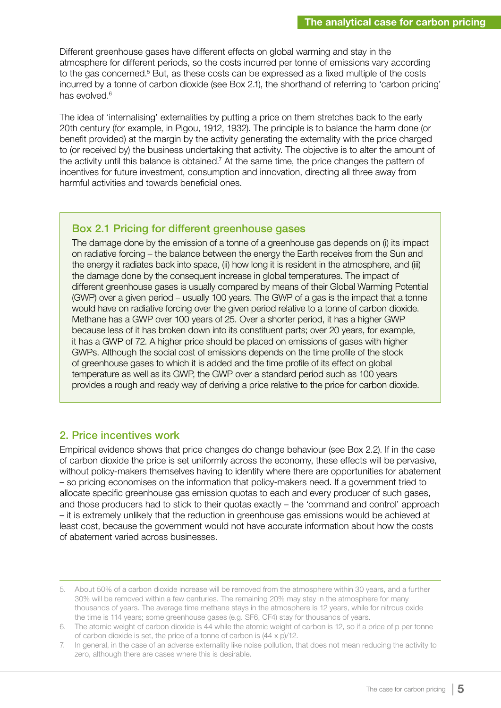Different greenhouse gases have different effects on global warming and stay in the atmosphere for different periods, so the costs incurred per tonne of emissions vary according to the gas concerned.<sup>5</sup> But, as these costs can be expressed as a fixed multiple of the costs incurred by a tonne of carbon dioxide (see Box 2.1), the shorthand of referring to 'carbon pricing' has evolved.<sup>6</sup>

The idea of 'internalising' externalities by putting a price on them stretches back to the early 20th century (for example, in Pigou, 1912, 1932). The principle is to balance the harm done (or benefit provided) at the margin by the activity generating the externality with the price charged to (or received by) the business undertaking that activity. The objective is to alter the amount of the activity until this balance is obtained.<sup>7</sup> At the same time, the price changes the pattern of incentives for future investment, consumption and innovation, directing all three away from harmful activities and towards beneficial ones.

#### Box 2.1 Pricing for different greenhouse gases

The damage done by the emission of a tonne of a greenhouse gas depends on (i) its impact on radiative forcing – the balance between the energy the Earth receives from the Sun and the energy it radiates back into space, (ii) how long it is resident in the atmosphere, and (iii) the damage done by the consequent increase in global temperatures. The impact of different greenhouse gases is usually compared by means of their Global Warming Potential (GWP) over a given period – usually 100 years. The GWP of a gas is the impact that a tonne would have on radiative forcing over the given period relative to a tonne of carbon dioxide. Methane has a GWP over 100 years of 25. Over a shorter period, it has a higher GWP because less of it has broken down into its constituent parts; over 20 years, for example, it has a GWP of 72. A higher price should be placed on emissions of gases with higher GWPs. Although the social cost of emissions depends on the time profile of the stock of greenhouse gases to which it is added and the time profile of its effect on global temperature as well as its GWP, the GWP over a standard period such as 100 years provides a rough and ready way of deriving a price relative to the price for carbon dioxide.

#### 2. Price incentives work

Empirical evidence shows that price changes do change behaviour (see Box 2.2). If in the case of carbon dioxide the price is set uniformly across the economy, these effects will be pervasive, without policy-makers themselves having to identify where there are opportunities for abatement – so pricing economises on the information that policy-makers need. If a government tried to allocate specific greenhouse gas emission quotas to each and every producer of such gases, and those producers had to stick to their quotas exactly – the 'command and control' approach – it is extremely unlikely that the reduction in greenhouse gas emissions would be achieved at least cost, because the government would not have accurate information about how the costs of abatement varied across businesses.

<sup>5.</sup> About 50% of a carbon dioxide increase will be removed from the atmosphere within 30 years, and a further 30% will be removed within a few centuries. The remaining 20% may stay in the atmosphere for many thousands of years. The average time methane stays in the atmosphere is 12 years, while for nitrous oxide the time is 114 years; some greenhouse gases (e.g. SF6, CF4) stay for thousands of years.

<sup>6.</sup> The atomic weight of carbon dioxide is 44 while the atomic weight of carbon is 12, so if a price of p per tonne of carbon dioxide is set, the price of a tonne of carbon is (44 x p)/12.

<sup>7.</sup> In general, in the case of an adverse externality like noise pollution, that does not mean reducing the activity to zero, although there are cases where this is desirable.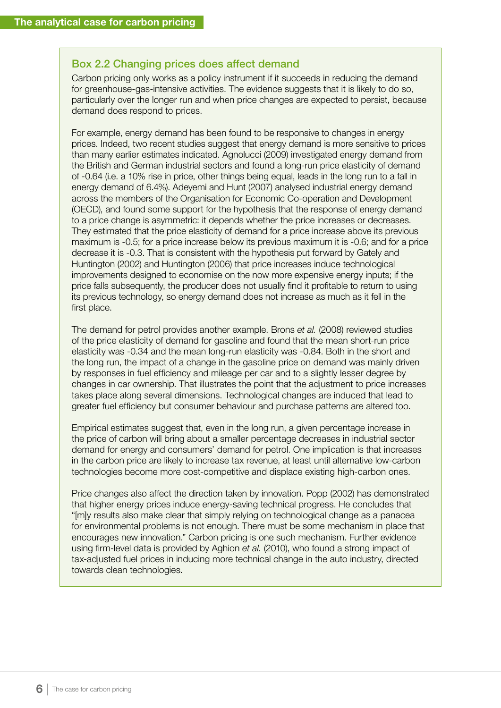#### Box 2.2 Changing prices does affect demand

Carbon pricing only works as a policy instrument if it succeeds in reducing the demand for greenhouse-gas-intensive activities. The evidence suggests that it is likely to do so, particularly over the longer run and when price changes are expected to persist, because demand does respond to prices.

For example, energy demand has been found to be responsive to changes in energy prices. Indeed, two recent studies suggest that energy demand is more sensitive to prices than many earlier estimates indicated. Agnolucci (2009) investigated energy demand from the British and German industrial sectors and found a long-run price elasticity of demand of -0.64 (i.e. a 10% rise in price, other things being equal, leads in the long run to a fall in energy demand of 6.4%). Adeyemi and Hunt (2007) analysed industrial energy demand across the members of the Organisation for Economic Co-operation and Development (OECD), and found some support for the hypothesis that the response of energy demand to a price change is asymmetric: it depends whether the price increases or decreases. They estimated that the price elasticity of demand for a price increase above its previous maximum is -0.5; for a price increase below its previous maximum it is -0.6; and for a price decrease it is -0.3. That is consistent with the hypothesis put forward by Gately and Huntington (2002) and Huntington (2006) that price increases induce technological improvements designed to economise on the now more expensive energy inputs; if the price falls subsequently, the producer does not usually find it profitable to return to using its previous technology, so energy demand does not increase as much as it fell in the first place.

The demand for petrol provides another example. Brons *et al.* (2008) reviewed studies of the price elasticity of demand for gasoline and found that the mean short-run price elasticity was -0.34 and the mean long-run elasticity was -0.84. Both in the short and the long run, the impact of a change in the gasoline price on demand was mainly driven by responses in fuel efficiency and mileage per car and to a slightly lesser degree by changes in car ownership. That illustrates the point that the adjustment to price increases takes place along several dimensions. Technological changes are induced that lead to greater fuel efficiency but consumer behaviour and purchase patterns are altered too.

Empirical estimates suggest that, even in the long run, a given percentage increase in the price of carbon will bring about a smaller percentage decreases in industrial sector demand for energy and consumers' demand for petrol. One implication is that increases in the carbon price are likely to increase tax revenue, at least until alternative low-carbon technologies become more cost-competitive and displace existing high-carbon ones.

Price changes also affect the direction taken by innovation. Popp (2002) has demonstrated that higher energy prices induce energy-saving technical progress. He concludes that "[m]y results also make clear that simply relying on technological change as a panacea for environmental problems is not enough. There must be some mechanism in place that encourages new innovation." Carbon pricing is one such mechanism. Further evidence using firm-level data is provided by Aghion *et al.* (2010), who found a strong impact of tax-adjusted fuel prices in inducing more technical change in the auto industry, directed towards clean technologies.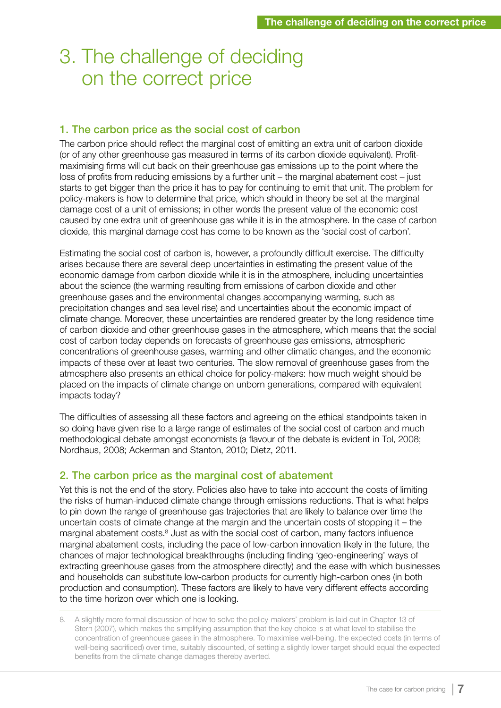# 3. The challenge of deciding on the correct price

#### 1. The carbon price as the social cost of carbon

The carbon price should reflect the marginal cost of emitting an extra unit of carbon dioxide (or of any other greenhouse gas measured in terms of its carbon dioxide equivalent). Profitmaximising firms will cut back on their greenhouse gas emissions up to the point where the loss of profits from reducing emissions by a further unit – the marginal abatement cost – just starts to get bigger than the price it has to pay for continuing to emit that unit. The problem for policy-makers is how to determine that price, which should in theory be set at the marginal damage cost of a unit of emissions; in other words the present value of the economic cost caused by one extra unit of greenhouse gas while it is in the atmosphere. In the case of carbon dioxide, this marginal damage cost has come to be known as the 'social cost of carbon'.

Estimating the social cost of carbon is, however, a profoundly difficult exercise. The difficulty arises because there are several deep uncertainties in estimating the present value of the economic damage from carbon dioxide while it is in the atmosphere, including uncertainties about the science (the warming resulting from emissions of carbon dioxide and other greenhouse gases and the environmental changes accompanying warming, such as precipitation changes and sea level rise) and uncertainties about the economic impact of climate change. Moreover, these uncertainties are rendered greater by the long residence time of carbon dioxide and other greenhouse gases in the atmosphere, which means that the social cost of carbon today depends on forecasts of greenhouse gas emissions, atmospheric concentrations of greenhouse gases, warming and other climatic changes, and the economic impacts of these over at least two centuries. The slow removal of greenhouse gases from the atmosphere also presents an ethical choice for policy-makers: how much weight should be placed on the impacts of climate change on unborn generations, compared with equivalent impacts today?

The difficulties of assessing all these factors and agreeing on the ethical standpoints taken in so doing have given rise to a large range of estimates of the social cost of carbon and much methodological debate amongst economists (a flavour of the debate is evident in Tol, 2008; Nordhaus, 2008; Ackerman and Stanton, 2010; Dietz, 2011.

#### 2. The carbon price as the marginal cost of abatement

Yet this is not the end of the story. Policies also have to take into account the costs of limiting the risks of human-induced climate change through emissions reductions. That is what helps to pin down the range of greenhouse gas trajectories that are likely to balance over time the uncertain costs of climate change at the margin and the uncertain costs of stopping it – the marginal abatement costs.<sup>8</sup> Just as with the social cost of carbon, many factors influence marginal abatement costs, including the pace of low-carbon innovation likely in the future, the chances of major technological breakthroughs (including finding 'geo-engineering' ways of extracting greenhouse gases from the atmosphere directly) and the ease with which businesses and households can substitute low-carbon products for currently high-carbon ones (in both production and consumption). These factors are likely to have very different effects according to the time horizon over which one is looking.

<sup>8.</sup> A slightly more formal discussion of how to solve the policy-makers' problem is laid out in Chapter 13 of Stern (2007), which makes the simplifying assumption that the key choice is at what level to stabilise the concentration of greenhouse gases in the atmosphere. To maximise well-being, the expected costs (in terms of well-being sacrificed) over time, suitably discounted, of setting a slightly lower target should equal the expected benefits from the climate change damages thereby averted.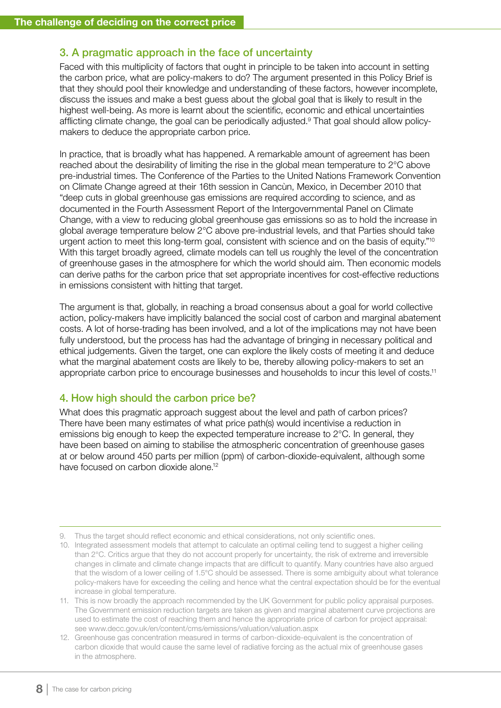# 3. A pragmatic approach in the face of uncertainty

Faced with this multiplicity of factors that ought in principle to be taken into account in setting the carbon price, what are policy-makers to do? The argument presented in this Policy Brief is that they should pool their knowledge and understanding of these factors, however incomplete, discuss the issues and make a best guess about the global goal that is likely to result in the highest well-being. As more is learnt about the scientific, economic and ethical uncertainties afflicting climate change, the goal can be periodically adjusted.<sup>9</sup> That goal should allow policymakers to deduce the appropriate carbon price.

In practice, that is broadly what has happened. A remarkable amount of agreement has been reached about the desirability of limiting the rise in the global mean temperature to 2°C above pre-industrial times. The Conference of the Parties to the United Nations Framework Convention on Climate Change agreed at their 16th session in Cancùn, Mexico, in December 2010 that "deep cuts in global greenhouse gas emissions are required according to science, and as documented in the Fourth Assessment Report of the Intergovernmental Panel on Climate Change, with a view to reducing global greenhouse gas emissions so as to hold the increase in global average temperature below 2°C above pre-industrial levels, and that Parties should take urgent action to meet this long-term goal, consistent with science and on the basis of equity."<sup>10</sup> With this target broadly agreed, climate models can tell us roughly the level of the concentration of greenhouse gases in the atmosphere for which the world should aim. Then economic models can derive paths for the carbon price that set appropriate incentives for cost-effective reductions in emissions consistent with hitting that target.

The argument is that, globally, in reaching a broad consensus about a goal for world collective action, policy-makers have implicitly balanced the social cost of carbon and marginal abatement costs. A lot of horse-trading has been involved, and a lot of the implications may not have been fully understood, but the process has had the advantage of bringing in necessary political and ethical judgements. Given the target, one can explore the likely costs of meeting it and deduce what the marginal abatement costs are likely to be, thereby allowing policy-makers to set an appropriate carbon price to encourage businesses and households to incur this level of costs.<sup>11</sup>

#### 4. How high should the carbon price be?

What does this pragmatic approach suggest about the level and path of carbon prices? There have been many estimates of what price path(s) would incentivise a reduction in emissions big enough to keep the expected temperature increase to 2°C. In general, they have been based on aiming to stabilise the atmospheric concentration of greenhouse gases at or below around 450 parts per million (ppm) of carbon-dioxide-equivalent, although some have focused on carbon dioxide alone.<sup>12</sup>

<sup>9.</sup> Thus the target should reflect economic and ethical considerations, not only scientific ones.

<sup>10.</sup> Integrated assessment models that attempt to calculate an optimal ceiling tend to suggest a higher ceiling than 2°C. Critics argue that they do not account properly for uncertainty, the risk of extreme and irreversible changes in climate and climate change impacts that are difficult to quantify. Many countries have also argued that the wisdom of a lower ceiling of 1.5°C should be assessed. There is some ambiguity about what tolerance policy-makers have for exceeding the ceiling and hence what the central expectation should be for the eventual increase in global temperature.

<sup>11.</sup> This is now broadly the approach recommended by the UK Government for public policy appraisal purposes. The Government emission reduction targets are taken as given and marginal abatement curve projections are used to estimate the cost of reaching them and hence the appropriate price of carbon for project appraisal: see www.decc.gov.uk/en/content/cms/emissions/valuation/valuation.aspx

<sup>12.</sup> Greenhouse gas concentration measured in terms of carbon-dioxide-equivalent is the concentration of carbon dioxide that would cause the same level of radiative forcing as the actual mix of greenhouse gases in the atmosphere.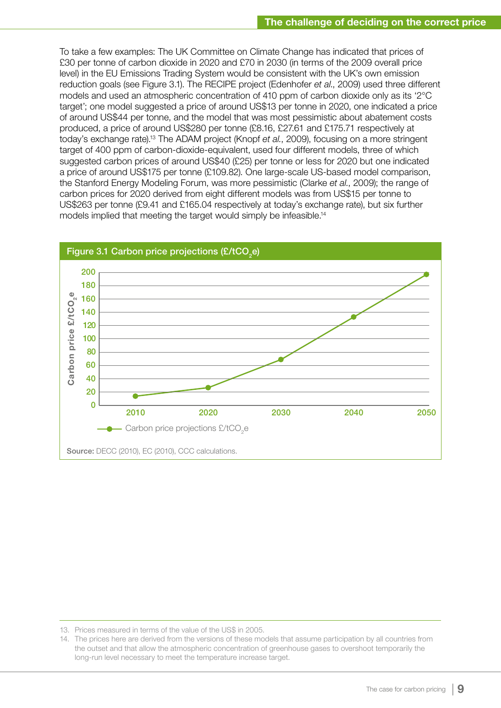To take a few examples: The UK Committee on Climate Change has indicated that prices of £30 per tonne of carbon dioxide in 2020 and £70 in 2030 (in terms of the 2009 overall price level) in the EU Emissions Trading System would be consistent with the UK's own emission reduction goals (see Figure 3.1). The RECIPE project (Edenhofer *et al*., 2009) used three different models and used an atmospheric concentration of 410 ppm of carbon dioxide only as its '2°C target'; one model suggested a price of around US\$13 per tonne in 2020, one indicated a price of around US\$44 per tonne, and the model that was most pessimistic about abatement costs produced, a price of around US\$280 per tonne (£8.16, £27.61 and £175.71 respectively at today's exchange rate).13 The ADAM project (Knopf *et al.*, 2009), focusing on a more stringent target of 400 ppm of carbon-dioxide-equivalent, used four different models, three of which suggested carbon prices of around US\$40 (£25) per tonne or less for 2020 but one indicated a price of around US\$175 per tonne (£109.82). One large-scale US-based model comparison, the Stanford Energy Modeling Forum, was more pessimistic (Clarke *et al.*, 2009); the range of carbon prices for 2020 derived from eight different models was from US\$15 per tonne to US\$263 per tonne (£9.41 and £165.04 respectively at today's exchange rate), but six further models implied that meeting the target would simply be infeasible.<sup>14</sup>



<sup>13.</sup> Prices measured in terms of the value of the US\$ in 2005.

<sup>14.</sup> The prices here are derived from the versions of these models that assume participation by all countries from the outset and that allow the atmospheric concentration of greenhouse gases to overshoot temporarily the long-run level necessary to meet the temperature increase target.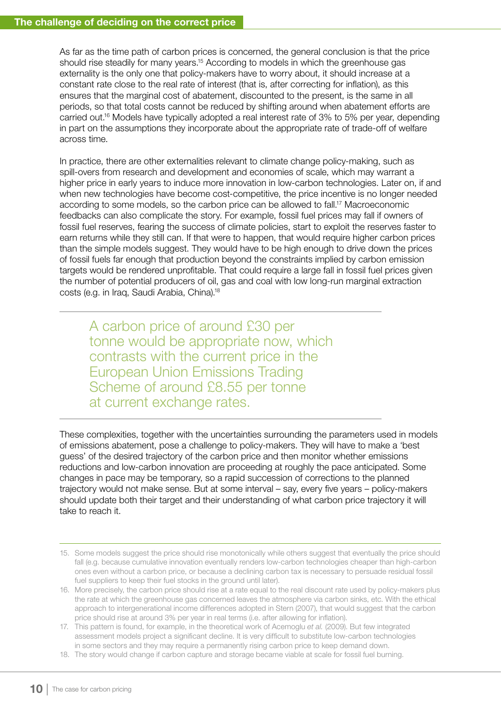As far as the time path of carbon prices is concerned, the general conclusion is that the price should rise steadily for many years.<sup>15</sup> According to models in which the greenhouse gas externality is the only one that policy-makers have to worry about, it should increase at a constant rate close to the real rate of interest (that is, after correcting for inflation), as this ensures that the marginal cost of abatement, discounted to the present, is the same in all periods, so that total costs cannot be reduced by shifting around when abatement efforts are carried out.16 Models have typically adopted a real interest rate of 3% to 5% per year, depending in part on the assumptions they incorporate about the appropriate rate of trade-off of welfare across time.

In practice, there are other externalities relevant to climate change policy-making, such as spill-overs from research and development and economies of scale, which may warrant a higher price in early years to induce more innovation in low-carbon technologies. Later on, if and when new technologies have become cost-competitive, the price incentive is no longer needed according to some models, so the carbon price can be allowed to fall.17 Macroeconomic feedbacks can also complicate the story. For example, fossil fuel prices may fall if owners of fossil fuel reserves, fearing the success of climate policies, start to exploit the reserves faster to earn returns while they still can. If that were to happen, that would require higher carbon prices than the simple models suggest. They would have to be high enough to drive down the prices of fossil fuels far enough that production beyond the constraints implied by carbon emission targets would be rendered unprofitable. That could require a large fall in fossil fuel prices given the number of potential producers of oil, gas and coal with low long-run marginal extraction costs (e.g. in Iraq, Saudi Arabia, China).18

A carbon price of around £30 per tonne would be appropriate now, which contrasts with the current price in the European Union Emissions Trading Scheme of around £8.55 per tonne at current exchange rates.

These complexities, together with the uncertainties surrounding the parameters used in models of emissions abatement, pose a challenge to policy-makers. They will have to make a 'best guess' of the desired trajectory of the carbon price and then monitor whether emissions reductions and low-carbon innovation are proceeding at roughly the pace anticipated. Some changes in pace may be temporary, so a rapid succession of corrections to the planned trajectory would not make sense. But at some interval – say, every five years – policy-makers should update both their target and their understanding of what carbon price trajectory it will take to reach it.

<sup>15.</sup> Some models suggest the price should rise monotonically while others suggest that eventually the price should fall (e.g. because cumulative innovation eventually renders low-carbon technologies cheaper than high-carbon ones even without a carbon price, or because a declining carbon tax is necessary to persuade residual fossil fuel suppliers to keep their fuel stocks in the ground until later).

<sup>16.</sup> More precisely, the carbon price should rise at a rate equal to the real discount rate used by policy-makers plus the rate at which the greenhouse gas concerned leaves the atmosphere via carbon sinks, etc. With the ethical approach to intergenerational income differences adopted in Stern (2007), that would suggest that the carbon price should rise at around 3% per year in real terms (i.e. after allowing for inflation).

<sup>17.</sup> This pattern is found, for example, in the theoretical work of Acemoglu *et al.* (2009). But few integrated assessment models project a significant decline. It is very difficult to substitute low-carbon technologies in some sectors and they may require a permanently rising carbon price to keep demand down.

<sup>18.</sup> The story would change if carbon capture and storage became viable at scale for fossil fuel burning.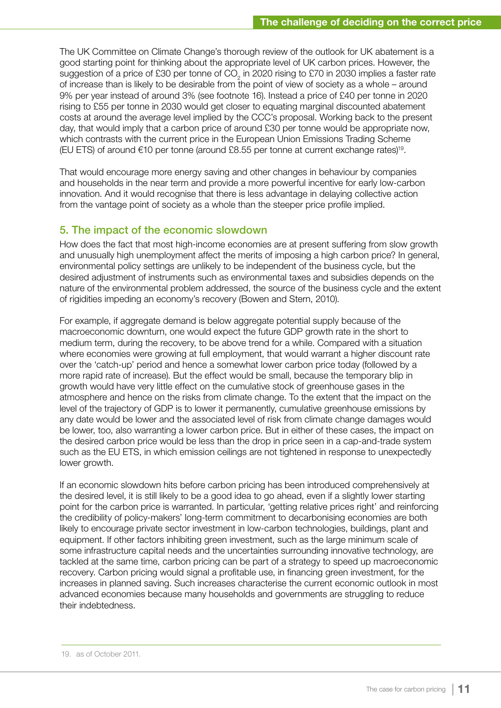The UK Committee on Climate Change's thorough review of the outlook for UK abatement is a good starting point for thinking about the appropriate level of UK carbon prices. However, the suggestion of a price of £30 per tonne of CO<sub>2</sub> in 2020 rising to £70 in 2030 implies a faster rate of increase than is likely to be desirable from the point of view of society as a whole – around 9% per year instead of around 3% (see footnote 16). Instead a price of £40 per tonne in 2020 rising to £55 per tonne in 2030 would get closer to equating marginal discounted abatement costs at around the average level implied by the CCC's proposal. Working back to the present day, that would imply that a carbon price of around £30 per tonne would be appropriate now, which contrasts with the current price in the European Union Emissions Trading Scheme (EU ETS) of around  $€10$  per tonne (around £8.55 per tonne at current exchange rates)<sup>19</sup>.

That would encourage more energy saving and other changes in behaviour by companies and households in the near term and provide a more powerful incentive for early low-carbon innovation. And it would recognise that there is less advantage in delaying collective action from the vantage point of society as a whole than the steeper price profile implied.

# 5. The impact of the economic slowdown

How does the fact that most high-income economies are at present suffering from slow growth and unusually high unemployment affect the merits of imposing a high carbon price? In general, environmental policy settings are unlikely to be independent of the business cycle, but the desired adjustment of instruments such as environmental taxes and subsidies depends on the nature of the environmental problem addressed, the source of the business cycle and the extent of rigidities impeding an economy's recovery (Bowen and Stern, 2010).

For example, if aggregate demand is below aggregate potential supply because of the macroeconomic downturn, one would expect the future GDP growth rate in the short to medium term, during the recovery, to be above trend for a while. Compared with a situation where economies were growing at full employment, that would warrant a higher discount rate over the 'catch-up' period and hence a somewhat lower carbon price today (followed by a more rapid rate of increase). But the effect would be small, because the temporary blip in growth would have very little effect on the cumulative stock of greenhouse gases in the atmosphere and hence on the risks from climate change. To the extent that the impact on the level of the trajectory of GDP is to lower it permanently, cumulative greenhouse emissions by any date would be lower and the associated level of risk from climate change damages would be lower, too, also warranting a lower carbon price. But in either of these cases, the impact on the desired carbon price would be less than the drop in price seen in a cap-and-trade system such as the EU ETS, in which emission ceilings are not tightened in response to unexpectedly lower growth.

If an economic slowdown hits before carbon pricing has been introduced comprehensively at the desired level, it is still likely to be a good idea to go ahead, even if a slightly lower starting point for the carbon price is warranted. In particular, 'getting relative prices right' and reinforcing the credibility of policy-makers' long-term commitment to decarbonising economies are both likely to encourage private sector investment in low-carbon technologies, buildings, plant and equipment. If other factors inhibiting green investment, such as the large minimum scale of some infrastructure capital needs and the uncertainties surrounding innovative technology, are tackled at the same time, carbon pricing can be part of a strategy to speed up macroeconomic recovery. Carbon pricing would signal a profitable use, in financing green investment, for the increases in planned saving. Such increases characterise the current economic outlook in most advanced economies because many households and governments are struggling to reduce their indebtedness.

<sup>19.</sup> as of October 2011.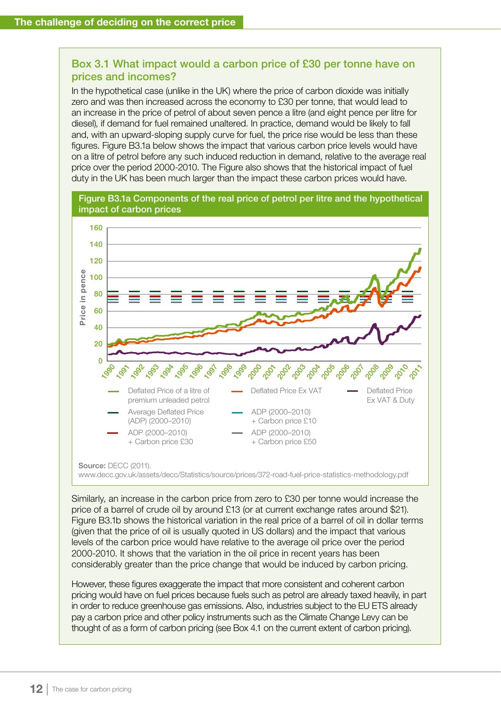# Box 3.1 What impact would a carbon price of £30 per tonne have on prices and incomes?

In the hypothetical case (unlike in the UK) where the price of carbon dioxide was initially zero and was then increased across the economy to £30 per tonne, that would lead to an increase in the price of petrol of about seven pence a litre (and eight pence per litre for diesel), if demand for fuel remained unaltered. In practice, demand would be likely to fall and, with an upward-sloping supply curve for fuel, the price rise would be less than these figures. Figure B3.1a below shows the impact that various carbon price levels would have on a litre of petrol before any such induced reduction in demand, relative to the average real price over the period 2000-2010. The Figure also shows that the historical impact of fuel duty in the UK has been much larger than the impact these carbon prices would have.



www.decc.gov.uk/assets/decc/Statistics/source/prices/372-road-fuel-price-statistics-methodology.pdf

Similarly, an increase in the carbon price from zero to £30 per tonne would increase the price of a barrel of crude oil by around £13 (or at current exchange rates around \$21). Figure B3.1b shows the historical variation in the real price of a barrel of oil in dollar terms (given that the price of oil is usually quoted in US dollars) and the impact that various levels of the carbon price would have relative to the average oil price over the period 2000-2010. It shows that the variation in the oil price in recent years has been considerably greater than the price change that would be induced by carbon pricing.

However, these figures exaggerate the impact that more consistent and coherent carbon pricing would have on fuel prices because fuels such as petrol are already taxed heavily, in part in order to reduce greenhouse gas emissions. Also, industries subject to the EU ETS already pay a carbon price and other policy instruments such as the Climate Change Levy can be thought of as a form of carbon pricing (see Box 4.1 on the current extent of carbon pricing).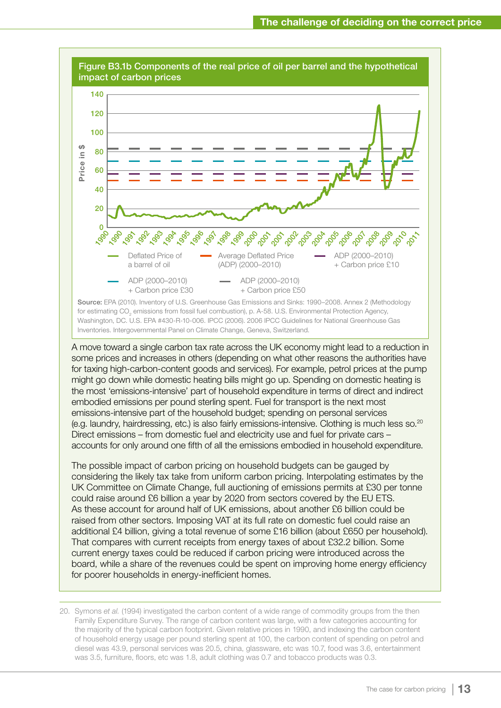

A move toward a single carbon tax rate across the UK economy might lead to a reduction in some prices and increases in others (depending on what other reasons the authorities have for taxing high-carbon-content goods and services). For example, petrol prices at the pump might go down while domestic heating bills might go up. Spending on domestic heating is the most 'emissions-intensive' part of household expenditure in terms of direct and indirect embodied emissions per pound sterling spent. Fuel for transport is the next most emissions-intensive part of the household budget; spending on personal services (e.g. laundry, hairdressing, etc.) is also fairly emissions-intensive. Clothing is much less so.<sup>20</sup> Direct emissions – from domestic fuel and electricity use and fuel for private cars – accounts for only around one fifth of all the emissions embodied in household expenditure.

The possible impact of carbon pricing on household budgets can be gauged by considering the likely tax take from uniform carbon pricing. Interpolating estimates by the UK Committee on Climate Change, full auctioning of emissions permits at £30 per tonne could raise around £6 billion a year by 2020 from sectors covered by the EU ETS. As these account for around half of UK emissions, about another £6 billion could be raised from other sectors. Imposing VAT at its full rate on domestic fuel could raise an additional £4 billion, giving a total revenue of some £16 billion (about £650 per household). That compares with current receipts from energy taxes of about £32.2 billion. Some current energy taxes could be reduced if carbon pricing were introduced across the board, while a share of the revenues could be spent on improving home energy efficiency for poorer households in energy-inefficient homes.

20. Symons *et al.* (1994) investigated the carbon content of a wide range of commodity groups from the then Family Expenditure Survey. The range of carbon content was large, with a few categories accounting for the majority of the typical carbon footprint. Given relative prices in 1990, and indexing the carbon content of household energy usage per pound sterling spent at 100, the carbon content of spending on petrol and diesel was 43.9, personal services was 20.5, china, glassware, etc was 10.7, food was 3.6, entertainment was 3.5, furniture, floors, etc was 1.8, adult clothing was 0.7 and tobacco products was 0.3.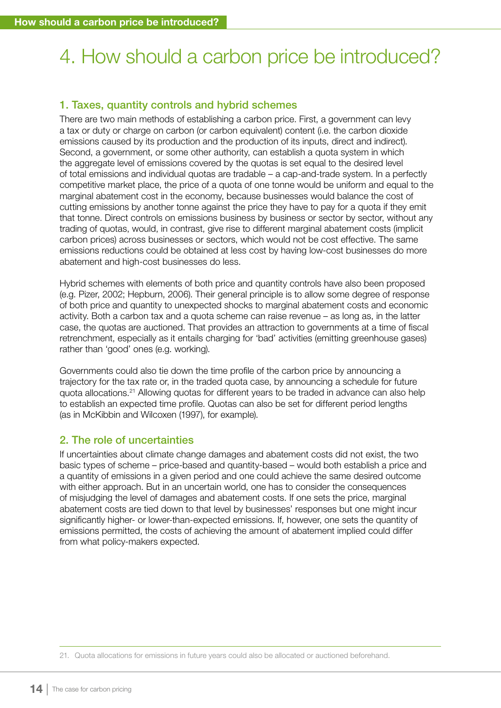# 4. How should a carbon price be introduced?

# 1. Taxes, quantity controls and hybrid schemes

There are two main methods of establishing a carbon price. First, a government can levy a tax or duty or charge on carbon (or carbon equivalent) content (i.e. the carbon dioxide emissions caused by its production and the production of its inputs, direct and indirect). Second, a government, or some other authority, can establish a quota system in which the aggregate level of emissions covered by the quotas is set equal to the desired level of total emissions and individual quotas are tradable – a cap-and-trade system. In a perfectly competitive market place, the price of a quota of one tonne would be uniform and equal to the marginal abatement cost in the economy, because businesses would balance the cost of cutting emissions by another tonne against the price they have to pay for a quota if they emit that tonne. Direct controls on emissions business by business or sector by sector, without any trading of quotas, would, in contrast, give rise to different marginal abatement costs (implicit carbon prices) across businesses or sectors, which would not be cost effective. The same emissions reductions could be obtained at less cost by having low-cost businesses do more abatement and high-cost businesses do less.

Hybrid schemes with elements of both price and quantity controls have also been proposed (e.g. Pizer, 2002; Hepburn, 2006). Their general principle is to allow some degree of response of both price and quantity to unexpected shocks to marginal abatement costs and economic activity. Both a carbon tax and a quota scheme can raise revenue – as long as, in the latter case, the quotas are auctioned. That provides an attraction to governments at a time of fiscal retrenchment, especially as it entails charging for 'bad' activities (emitting greenhouse gases) rather than 'good' ones (e.g. working).

Governments could also tie down the time profile of the carbon price by announcing a trajectory for the tax rate or, in the traded quota case, by announcing a schedule for future quota allocations.21 Allowing quotas for different years to be traded in advance can also help to establish an expected time profile. Quotas can also be set for different period lengths (as in McKibbin and Wilcoxen (1997), for example).

# 2. The role of uncertainties

If uncertainties about climate change damages and abatement costs did not exist, the two basic types of scheme – price-based and quantity-based – would both establish a price and a quantity of emissions in a given period and one could achieve the same desired outcome with either approach. But in an uncertain world, one has to consider the consequences of misjudging the level of damages and abatement costs. If one sets the price, marginal abatement costs are tied down to that level by businesses' responses but one might incur significantly higher- or lower-than-expected emissions. If, however, one sets the quantity of emissions permitted, the costs of achieving the amount of abatement implied could differ from what policy-makers expected.

<sup>21.</sup> Quota allocations for emissions in future years could also be allocated or auctioned beforehand.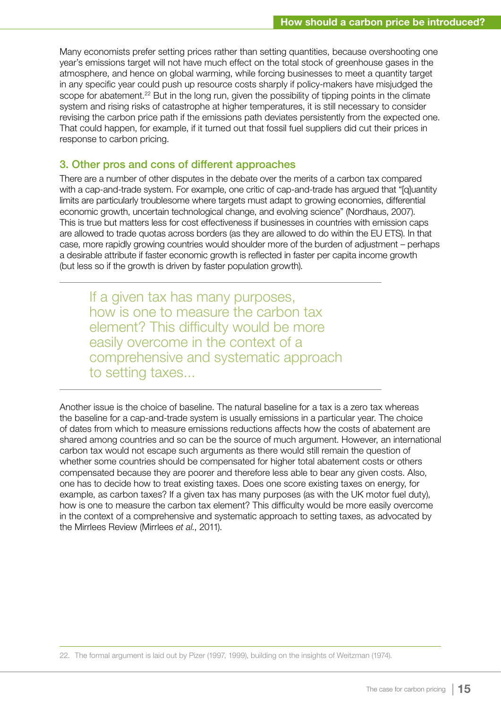Many economists prefer setting prices rather than setting quantities, because overshooting one year's emissions target will not have much effect on the total stock of greenhouse gases in the atmosphere, and hence on global warming, while forcing businesses to meet a quantity target in any specific year could push up resource costs sharply if policy-makers have misjudged the scope for abatement.<sup>22</sup> But in the long run, given the possibility of tipping points in the climate system and rising risks of catastrophe at higher temperatures, it is still necessary to consider revising the carbon price path if the emissions path deviates persistently from the expected one. That could happen, for example, if it turned out that fossil fuel suppliers did cut their prices in response to carbon pricing.

#### 3. Other pros and cons of different approaches

There are a number of other disputes in the debate over the merits of a carbon tax compared with a cap-and-trade system. For example, one critic of cap-and-trade has argued that "[q]uantity limits are particularly troublesome where targets must adapt to growing economies, differential economic growth, uncertain technological change, and evolving science" (Nordhaus, 2007). This is true but matters less for cost effectiveness if businesses in countries with emission caps are allowed to trade quotas across borders (as they are allowed to do within the EU ETS). In that case, more rapidly growing countries would shoulder more of the burden of adjustment – perhaps a desirable attribute if faster economic growth is reflected in faster per capita income growth (but less so if the growth is driven by faster population growth).

If a given tax has many purposes, how is one to measure the carbon tax element? This difficulty would be more easily overcome in the context of a comprehensive and systematic approach to setting taxes...

Another issue is the choice of baseline. The natural baseline for a tax is a zero tax whereas the baseline for a cap-and-trade system is usually emissions in a particular year. The choice of dates from which to measure emissions reductions affects how the costs of abatement are shared among countries and so can be the source of much argument. However, an international carbon tax would not escape such arguments as there would still remain the question of whether some countries should be compensated for higher total abatement costs or others compensated because they are poorer and therefore less able to bear any given costs. Also, one has to decide how to treat existing taxes. Does one score existing taxes on energy, for example, as carbon taxes? If a given tax has many purposes (as with the UK motor fuel duty), how is one to measure the carbon tax element? This difficulty would be more easily overcome in the context of a comprehensive and systematic approach to setting taxes, as advocated by the Mirrlees Review (Mirrlees *et al.*, 2011).

22. The formal argument is laid out by Pizer (1997, 1999), building on the insights of Weitzman (1974).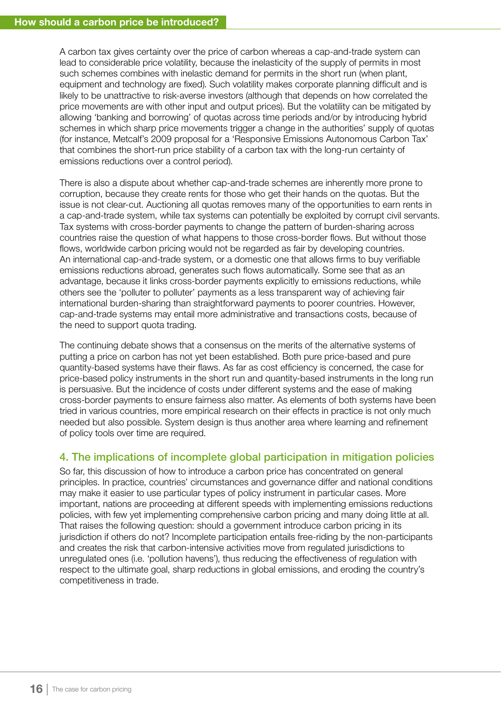A carbon tax gives certainty over the price of carbon whereas a cap-and-trade system can lead to considerable price volatility, because the inelasticity of the supply of permits in most such schemes combines with inelastic demand for permits in the short run (when plant, equipment and technology are fixed). Such volatility makes corporate planning difficult and is likely to be unattractive to risk-averse investors (although that depends on how correlated the price movements are with other input and output prices). But the volatility can be mitigated by allowing 'banking and borrowing' of quotas across time periods and/or by introducing hybrid schemes in which sharp price movements trigger a change in the authorities' supply of quotas (for instance, Metcalf's 2009 proposal for a 'Responsive Emissions Autonomous Carbon Tax' that combines the short-run price stability of a carbon tax with the long-run certainty of emissions reductions over a control period).

There is also a dispute about whether cap-and-trade schemes are inherently more prone to corruption, because they create rents for those who get their hands on the quotas. But the issue is not clear-cut. Auctioning all quotas removes many of the opportunities to earn rents in a cap-and-trade system, while tax systems can potentially be exploited by corrupt civil servants. Tax systems with cross-border payments to change the pattern of burden-sharing across countries raise the question of what happens to those cross-border flows. But without those flows, worldwide carbon pricing would not be regarded as fair by developing countries. An international cap-and-trade system, or a domestic one that allows firms to buy verifiable emissions reductions abroad, generates such flows automatically. Some see that as an advantage, because it links cross-border payments explicitly to emissions reductions, while others see the 'polluter to polluter' payments as a less transparent way of achieving fair international burden-sharing than straightforward payments to poorer countries. However, cap-and-trade systems may entail more administrative and transactions costs, because of the need to support quota trading.

The continuing debate shows that a consensus on the merits of the alternative systems of putting a price on carbon has not yet been established. Both pure price-based and pure quantity-based systems have their flaws. As far as cost efficiency is concerned, the case for price-based policy instruments in the short run and quantity-based instruments in the long run is persuasive. But the incidence of costs under different systems and the ease of making cross-border payments to ensure fairness also matter. As elements of both systems have been tried in various countries, more empirical research on their effects in practice is not only much needed but also possible. System design is thus another area where learning and refinement of policy tools over time are required.

# 4. The implications of incomplete global participation in mitigation policies

So far, this discussion of how to introduce a carbon price has concentrated on general principles. In practice, countries' circumstances and governance differ and national conditions may make it easier to use particular types of policy instrument in particular cases. More important, nations are proceeding at different speeds with implementing emissions reductions policies, with few yet implementing comprehensive carbon pricing and many doing little at all. That raises the following question: should a government introduce carbon pricing in its jurisdiction if others do not? Incomplete participation entails free-riding by the non-participants and creates the risk that carbon-intensive activities move from regulated jurisdictions to unregulated ones (i.e. 'pollution havens'), thus reducing the effectiveness of regulation with respect to the ultimate goal, sharp reductions in global emissions, and eroding the country's competitiveness in trade.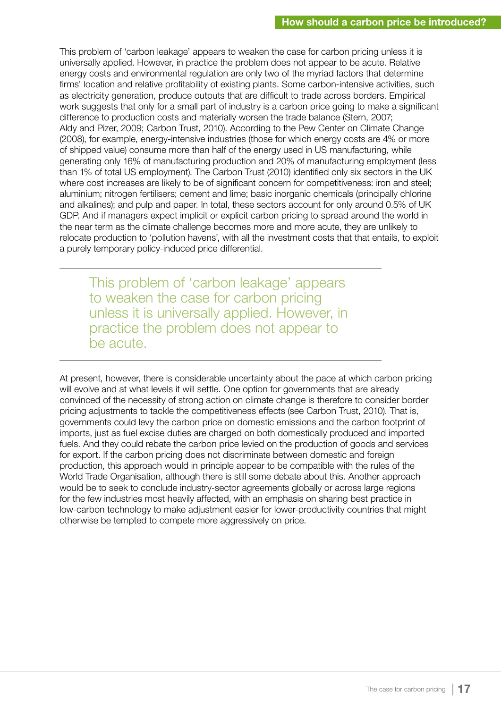This problem of 'carbon leakage' appears to weaken the case for carbon pricing unless it is universally applied. However, in practice the problem does not appear to be acute. Relative energy costs and environmental regulation are only two of the myriad factors that determine firms' location and relative profitability of existing plants. Some carbon-intensive activities, such as electricity generation, produce outputs that are difficult to trade across borders. Empirical work suggests that only for a small part of industry is a carbon price going to make a significant difference to production costs and materially worsen the trade balance (Stern, 2007; Aldy and Pizer, 2009; Carbon Trust, 2010). According to the Pew Center on Climate Change (2008), for example, energy-intensive industries (those for which energy costs are 4% or more of shipped value) consume more than half of the energy used in US manufacturing, while generating only 16% of manufacturing production and 20% of manufacturing employment (less than 1% of total US employment). The Carbon Trust (2010) identified only six sectors in the UK where cost increases are likely to be of significant concern for competitiveness: iron and steel; aluminium; nitrogen fertilisers; cement and lime; basic inorganic chemicals (principally chlorine and alkalines); and pulp and paper. In total, these sectors account for only around 0.5% of UK GDP. And if managers expect implicit or explicit carbon pricing to spread around the world in the near term as the climate challenge becomes more and more acute, they are unlikely to relocate production to 'pollution havens', with all the investment costs that that entails, to exploit a purely temporary policy-induced price differential.

This problem of 'carbon leakage' appears to weaken the case for carbon pricing unless it is universally applied. However, in practice the problem does not appear to be acute.

At present, however, there is considerable uncertainty about the pace at which carbon pricing will evolve and at what levels it will settle. One option for governments that are already convinced of the necessity of strong action on climate change is therefore to consider border pricing adjustments to tackle the competitiveness effects (see Carbon Trust, 2010). That is, governments could levy the carbon price on domestic emissions and the carbon footprint of imports, just as fuel excise duties are charged on both domestically produced and imported fuels. And they could rebate the carbon price levied on the production of goods and services for export. If the carbon pricing does not discriminate between domestic and foreign production, this approach would in principle appear to be compatible with the rules of the World Trade Organisation, although there is still some debate about this. Another approach would be to seek to conclude industry-sector agreements globally or across large regions for the few industries most heavily affected, with an emphasis on sharing best practice in low-carbon technology to make adjustment easier for lower-productivity countries that might otherwise be tempted to compete more aggressively on price.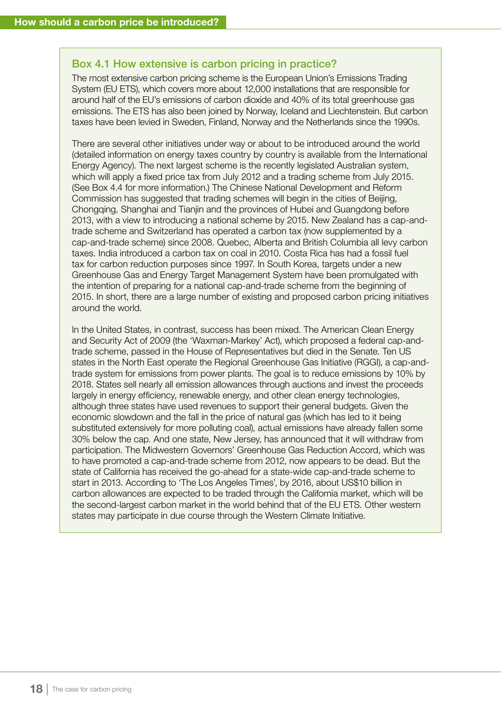### Box 4.1 How extensive is carbon pricing in practice?

The most extensive carbon pricing scheme is the European Union's Emissions Trading System (EU ETS), which covers more about 12,000 installations that are responsible for around half of the EU's emissions of carbon dioxide and 40% of its total greenhouse gas emissions. The ETS has also been joined by Norway, Iceland and Liechtenstein. But carbon taxes have been levied in Sweden, Finland, Norway and the Netherlands since the 1990s.

There are several other initiatives under way or about to be introduced around the world (detailed information on energy taxes country by country is available from the International Energy Agency). The next largest scheme is the recently legislated Australian system, which will apply a fixed price tax from July 2012 and a trading scheme from July 2015. (See Box 4.4 for more information.) The Chinese National Development and Reform Commission has suggested that trading schemes will begin in the cities of Beijing, Chongqing, Shanghai and Tianjin and the provinces of Hubei and Guangdong before 2013, with a view to introducing a national scheme by 2015. New Zealand has a cap-andtrade scheme and Switzerland has operated a carbon tax (now supplemented by a cap-and-trade scheme) since 2008. Quebec, Alberta and British Columbia all levy carbon taxes. India introduced a carbon tax on coal in 2010. Costa Rica has had a fossil fuel tax for carbon reduction purposes since 1997. In South Korea, targets under a new Greenhouse Gas and Energy Target Management System have been promulgated with the intention of preparing for a national cap-and-trade scheme from the beginning of 2015. In short, there are a large number of existing and proposed carbon pricing initiatives around the world.

In the United States, in contrast, success has been mixed. The American Clean Energy and Security Act of 2009 (the 'Waxman-Markey' Act), which proposed a federal cap-andtrade scheme, passed in the House of Representatives but died in the Senate. Ten US states in the North East operate the Regional Greenhouse Gas Initiative (RGGI), a cap-andtrade system for emissions from power plants. The goal is to reduce emissions by 10% by 2018. States sell nearly all emission allowances through auctions and invest the proceeds largely in energy efficiency, renewable energy, and other clean energy technologies, although three states have used revenues to support their general budgets. Given the economic slowdown and the fall in the price of natural gas (which has led to it being substituted extensively for more polluting coal), actual emissions have already fallen some 30% below the cap. And one state, New Jersey, has announced that it will withdraw from participation. The Midwestern Governors' Greenhouse Gas Reduction Accord, which was to have promoted a cap-and-trade scheme from 2012, now appears to be dead. But the state of California has received the go-ahead for a state-wide cap-and-trade scheme to start in 2013. According to 'The Los Angeles Times', by 2016, about US\$10 billion in carbon allowances are expected to be traded through the California market, which will be the second-largest carbon market in the world behind that of the EU ETS. Other western states may participate in due course through the Western Climate Initiative.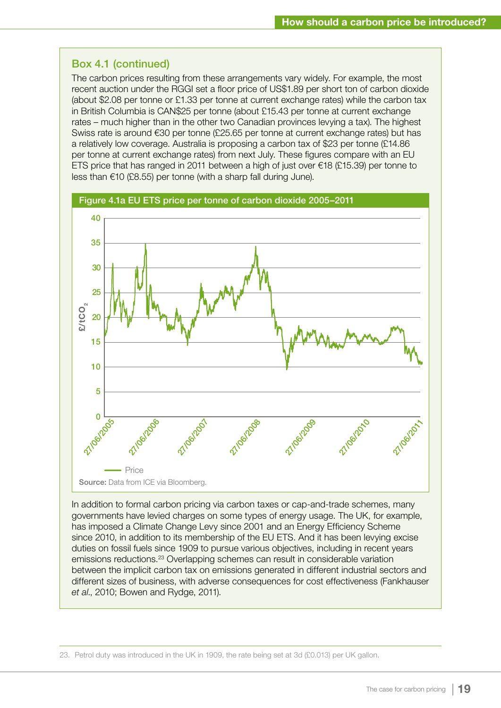# Box 4.1 (continued)

The carbon prices resulting from these arrangements vary widely. For example, the most recent auction under the RGGI set a floor price of US\$1.89 per short ton of carbon dioxide (about \$2.08 per tonne or £1.33 per tonne at current exchange rates) while the carbon tax in British Columbia is CAN\$25 per tonne (about £15.43 per tonne at current exchange rates – much higher than in the other two Canadian provinces levying a tax). The highest Swiss rate is around €30 per tonne (£25.65 per tonne at current exchange rates) but has a relatively low coverage. Australia is proposing a carbon tax of \$23 per tonne (£14.86 per tonne at current exchange rates) from next July. These figures compare with an EU ETS price that has ranged in 2011 between a high of just over  $\epsilon$ 18 (£15.39) per tonne to less than €10 (£8.55) per tonne (with a sharp fall during June).



In addition to formal carbon pricing via carbon taxes or cap-and-trade schemes, many governments have levied charges on some types of energy usage. The UK, for example, has imposed a Climate Change Levy since 2001 and an Energy Efficiency Scheme since 2010, in addition to its membership of the EU ETS. And it has been levying excise duties on fossil fuels since 1909 to pursue various objectives, including in recent years emissions reductions.23 Overlapping schemes can result in considerable variation between the implicit carbon tax on emissions generated in different industrial sectors and different sizes of business, with adverse consequences for cost effectiveness (Fankhauser *et al*., 2010; Bowen and Rydge, 2011).

<sup>23.</sup> Petrol duty was introduced in the UK in 1909, the rate being set at 3d (£0.013) per UK gallon.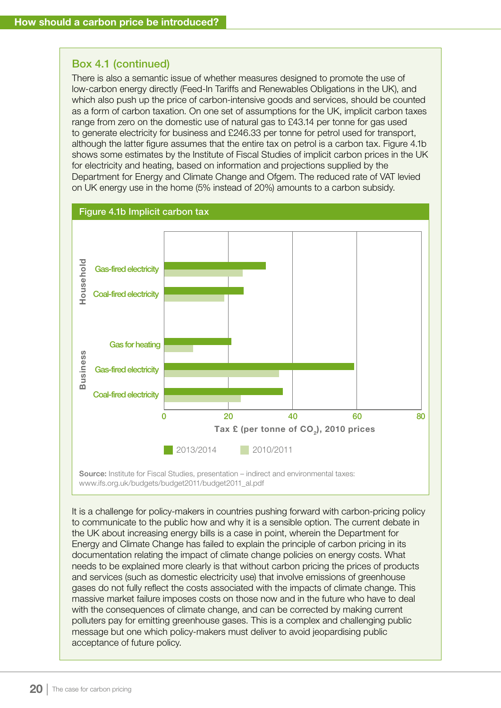### Box 4.1 (continued)

There is also a semantic issue of whether measures designed to promote the use of low-carbon energy directly (Feed-In Tariffs and Renewables Obligations in the UK), and which also push up the price of carbon-intensive goods and services, should be counted as a form of carbon taxation. On one set of assumptions for the UK, implicit carbon taxes range from zero on the domestic use of natural gas to £43.14 per tonne for gas used to generate electricity for business and £246.33 per tonne for petrol used for transport, although the latter figure assumes that the entire tax on petrol is a carbon tax. Figure 4.1b shows some estimates by the Institute of Fiscal Studies of implicit carbon prices in the UK for electricity and heating, based on information and projections supplied by the Department for Energy and Climate Change and Ofgem. The reduced rate of VAT levied on UK energy use in the home (5% instead of 20%) amounts to a carbon subsidy.



Source: Institute for Fiscal Studies, presentation – indirect and environmental taxes: www.ifs.org.uk/budgets/budget2011/budget2011\_al.pdf

It is a challenge for policy-makers in countries pushing forward with carbon-pricing policy to communicate to the public how and why it is a sensible option. The current debate in the UK about increasing energy bills is a case in point, wherein the Department for Energy and Climate Change has failed to explain the principle of carbon pricing in its documentation relating the impact of climate change policies on energy costs. What needs to be explained more clearly is that without carbon pricing the prices of products and services (such as domestic electricity use) that involve emissions of greenhouse gases do not fully reflect the costs associated with the impacts of climate change. This massive market failure imposes costs on those now and in the future who have to deal with the consequences of climate change, and can be corrected by making current polluters pay for emitting greenhouse gases. This is a complex and challenging public message but one which policy-makers must deliver to avoid jeopardising public acceptance of future policy.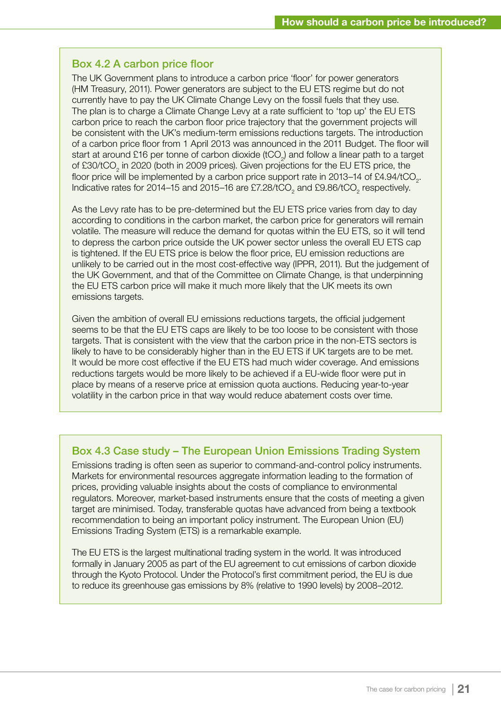### Box 4.2 A carbon price floor

The UK Government plans to introduce a carbon price 'floor' for power generators (HM Treasury, 2011). Power generators are subject to the EU ETS regime but do not currently have to pay the UK Climate Change Levy on the fossil fuels that they use. The plan is to charge a Climate Change Levy at a rate sufficient to 'top up' the EU ETS carbon price to reach the carbon floor price trajectory that the government projects will be consistent with the UK's medium-term emissions reductions targets. The introduction of a carbon price floor from 1 April 2013 was announced in the 2011 Budget. The floor will start at around £16 per tonne of carbon dioxide (tCO<sub>2</sub>) and follow a linear path to a target of £30/tCO<sub>2</sub> in 2020 (both in 2009 prices). Given projections for the EU ETS price, the floor price will be implemented by a carbon price support rate in 2013–14 of £4.94/tCO<sub>2</sub>. Indicative rates for 2014–15 and 2015–16 are £7.28/tCO<sub>2</sub> and £9.86/tCO<sub>2</sub> respectively.

As the Levy rate has to be pre-determined but the EU ETS price varies from day to day according to conditions in the carbon market, the carbon price for generators will remain volatile. The measure will reduce the demand for quotas within the EU ETS, so it will tend to depress the carbon price outside the UK power sector unless the overall EU ETS cap is tightened. If the EU ETS price is below the floor price, EU emission reductions are unlikely to be carried out in the most cost-effective way (IPPR, 2011). But the judgement of the UK Government, and that of the Committee on Climate Change, is that underpinning the EU ETS carbon price will make it much more likely that the UK meets its own emissions targets.

Given the ambition of overall EU emissions reductions targets, the official judgement seems to be that the EU ETS caps are likely to be too loose to be consistent with those targets. That is consistent with the view that the carbon price in the non-ETS sectors is likely to have to be considerably higher than in the EU ETS if UK targets are to be met. It would be more cost effective if the EU ETS had much wider coverage. And emissions reductions targets would be more likely to be achieved if a EU-wide floor were put in place by means of a reserve price at emission quota auctions. Reducing year-to-year volatility in the carbon price in that way would reduce abatement costs over time.

# Box 4.3 Case study – The European Union Emissions Trading System

Emissions trading is often seen as superior to command-and-control policy instruments. Markets for environmental resources aggregate information leading to the formation of prices, providing valuable insights about the costs of compliance to environmental regulators. Moreover, market-based instruments ensure that the costs of meeting a given target are minimised. Today, transferable quotas have advanced from being a textbook recommendation to being an important policy instrument. The European Union (EU) Emissions Trading System (ETS) is a remarkable example.

The EU ETS is the largest multinational trading system in the world. It was introduced formally in January 2005 as part of the EU agreement to cut emissions of carbon dioxide through the Kyoto Protocol. Under the Protocol's first commitment period, the EU is due to reduce its greenhouse gas emissions by 8% (relative to 1990 levels) by 2008–2012.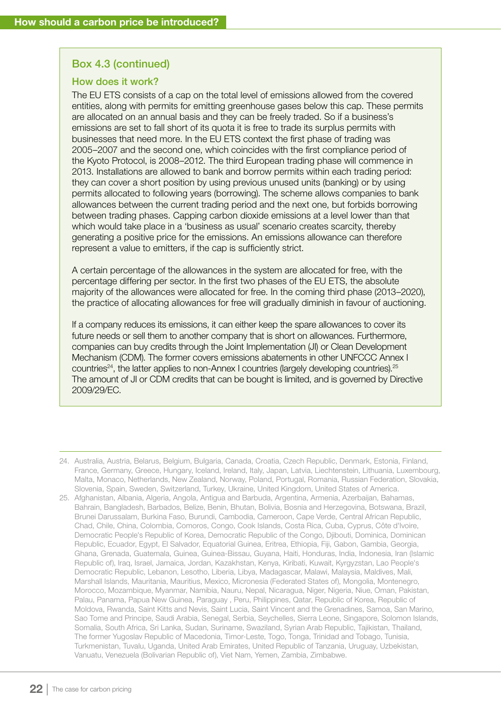#### Box 4.3 (continued)

#### How does it work?

The EU ETS consists of a cap on the total level of emissions allowed from the covered entities, along with permits for emitting greenhouse gases below this cap. These permits are allocated on an annual basis and they can be freely traded. So if a business's emissions are set to fall short of its quota it is free to trade its surplus permits with businesses that need more. In the EU ETS context the first phase of trading was 2005–2007 and the second one, which coincides with the first compliance period of the Kyoto Protocol, is 2008–2012. The third European trading phase will commence in 2013. Installations are allowed to bank and borrow permits within each trading period: they can cover a short position by using previous unused units (banking) or by using permits allocated to following years (borrowing). The scheme allows companies to bank allowances between the current trading period and the next one, but forbids borrowing between trading phases. Capping carbon dioxide emissions at a level lower than that which would take place in a 'business as usual' scenario creates scarcity, thereby generating a positive price for the emissions. An emissions allowance can therefore represent a value to emitters, if the cap is sufficiently strict.

A certain percentage of the allowances in the system are allocated for free, with the percentage differing per sector. In the first two phases of the EU ETS, the absolute majority of the allowances were allocated for free. In the coming third phase (2013–2020), the practice of allocating allowances for free will gradually diminish in favour of auctioning.

If a company reduces its emissions, it can either keep the spare allowances to cover its future needs or sell them to another company that is short on allowances. Furthermore, companies can buy credits through the Joint Implementation (JI) or Clean Development Mechanism (CDM). The former covers emissions abatements in other UNFCCC Annex I countries<sup>24</sup>, the latter applies to non-Annex I countries (largely developing countries).<sup>25</sup> The amount of JI or CDM credits that can be bought is limited, and is governed by Directive 2009/29/EC.

<sup>24.</sup> Australia, Austria, Belarus, Belgium, Bulgaria, Canada, Croatia, Czech Republic, Denmark, Estonia, Finland, France, Germany, Greece, Hungary, Iceland, Ireland, Italy, Japan, Latvia, Liechtenstein, Lithuania, Luxembourg, Malta, Monaco, Netherlands, New Zealand, Norway, Poland, Portugal, Romania, Russian Federation, Slovakia, Slovenia, Spain, Sweden, Switzerland, Turkey, Ukraine, United Kingdom, United States of America.

<sup>25.</sup> Afghanistan, Albania, Algeria, Angola, Antigua and Barbuda, Argentina, Armenia, Azerbaijan, Bahamas, Bahrain, Bangladesh, Barbados, Belize, Benin, Bhutan, Bolivia, Bosnia and Herzegovina, Botswana, Brazil, Brunei Darussalam, Burkina Faso, Burundi, Cambodia, Cameroon, Cape Verde, Central African Republic, Chad, Chile, China, Colombia, Comoros, Congo, Cook Islands, Costa Rica, Cuba, Cyprus, Côte d'Ivoire, Democratic People's Republic of Korea, Democratic Republic of the Congo, Djibouti, Dominica, Dominican Republic, Ecuador, Egypt, El Salvador, Equatorial Guinea, Eritrea, Ethiopia, Fiji, Gabon, Gambia, Georgia, Ghana, Grenada, Guatemala, Guinea, Guinea-Bissau, Guyana, Haiti, Honduras, India, Indonesia, Iran (Islamic Republic of), Iraq, Israel, Jamaica, Jordan, Kazakhstan, Kenya, Kiribati, Kuwait, Kyrgyzstan, Lao People's Democratic Republic, Lebanon, Lesotho, Liberia, Libya, Madagascar, Malawi, Malaysia, Maldives, Mali, Marshall Islands, Mauritania, Mauritius, Mexico, Micronesia (Federated States of), Mongolia, Montenegro, Morocco, Mozambique, Myanmar, Namibia, Nauru, Nepal, Nicaragua, Niger, Nigeria, Niue, Oman, Pakistan, Palau, Panama, Papua New Guinea, Paraguay , Peru, Philippines, Qatar, Republic of Korea, Republic of Moldova, Rwanda, Saint Kitts and Nevis, Saint Lucia, Saint Vincent and the Grenadines, Samoa, San Marino, Sao Tome and Principe, Saudi Arabia, Senegal, Serbia, Seychelles, Sierra Leone, Singapore, Solomon Islands, Somalia, South Africa, Sri Lanka, Sudan, Suriname, Swaziland, Syrian Arab Republic, Tajikistan, Thailand, The former Yugoslav Republic of Macedonia, Timor-Leste, Togo, Tonga, Trinidad and Tobago, Tunisia, Turkmenistan, Tuvalu, Uganda, United Arab Emirates, United Republic of Tanzania, Uruguay, Uzbekistan, Vanuatu, Venezuela (Bolivarian Republic of), Viet Nam, Yemen, Zambia, Zimbabwe.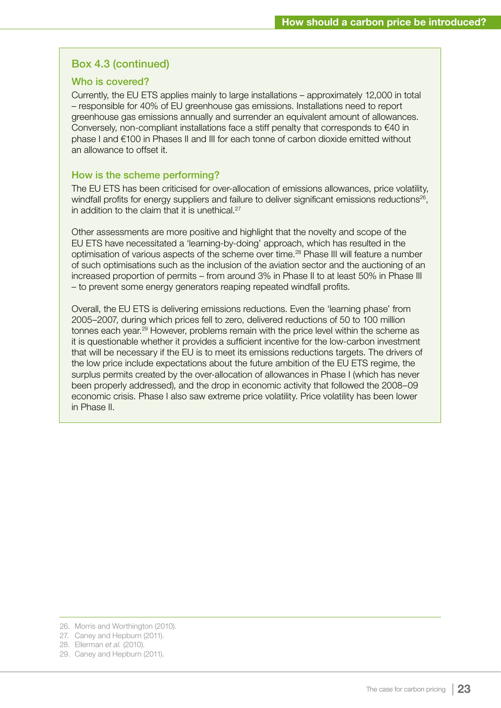### Box 4.3 (continued)

#### Who is covered?

Currently, the EU ETS applies mainly to large installations – approximately 12,000 in total – responsible for 40% of EU greenhouse gas emissions. Installations need to report greenhouse gas emissions annually and surrender an equivalent amount of allowances. Conversely, non-compliant installations face a stiff penalty that corresponds to €40 in phase I and €100 in Phases II and III for each tonne of carbon dioxide emitted without an allowance to offset it.

#### How is the scheme performing?

The EU ETS has been criticised for over-allocation of emissions allowances, price volatility, windfall profits for energy suppliers and failure to deliver significant emissions reductions<sup>26</sup>, in addition to the claim that it is unethical. $27$ 

Other assessments are more positive and highlight that the novelty and scope of the EU ETS have necessitated a 'learning-by-doing' approach, which has resulted in the optimisation of various aspects of the scheme over time.28 Phase III will feature a number of such optimisations such as the inclusion of the aviation sector and the auctioning of an increased proportion of permits – from around 3% in Phase II to at least 50% in Phase III – to prevent some energy generators reaping repeated windfall profits.

Overall, the EU ETS is delivering emissions reductions. Even the 'learning phase' from 2005–2007, during which prices fell to zero, delivered reductions of 50 to 100 million tonnes each year.<sup>29</sup> However, problems remain with the price level within the scheme as it is questionable whether it provides a sufficient incentive for the low-carbon investment that will be necessary if the EU is to meet its emissions reductions targets. The drivers of the low price include expectations about the future ambition of the EU ETS regime, the surplus permits created by the over-allocation of allowances in Phase I (which has never been properly addressed), and the drop in economic activity that followed the 2008–09 economic crisis. Phase I also saw extreme price volatility. Price volatility has been lower in Phase II.

<sup>26.</sup> Morris and Worthington (2010).

<sup>27.</sup> Caney and Hepburn (2011).

<sup>28.</sup> Ellerman *et al.* (2010).

<sup>29.</sup> Caney and Hepburn (2011).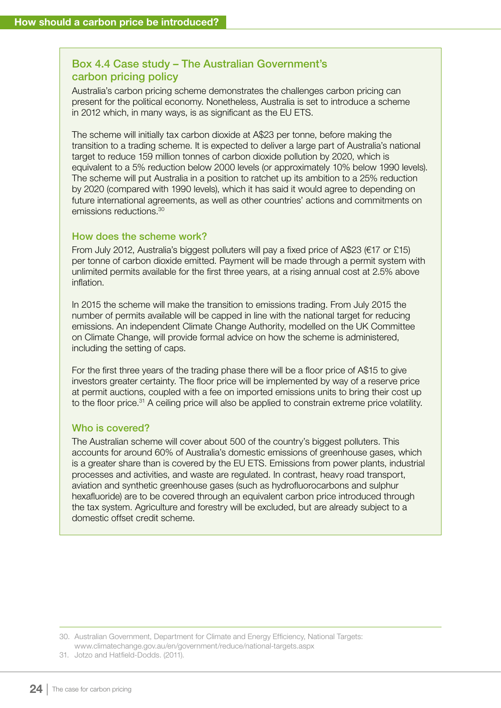# Box 4.4 Case study – The Australian Government's carbon pricing policy

Australia's carbon pricing scheme demonstrates the challenges carbon pricing can present for the political economy. Nonetheless, Australia is set to introduce a scheme in 2012 which, in many ways, is as significant as the EU ETS.

The scheme will initially tax carbon dioxide at A\$23 per tonne, before making the transition to a trading scheme. It is expected to deliver a large part of Australia's national target to reduce 159 million tonnes of carbon dioxide pollution by 2020, which is equivalent to a 5% reduction below 2000 levels (or approximately 10% below 1990 levels). The scheme will put Australia in a position to ratchet up its ambition to a 25% reduction by 2020 (compared with 1990 levels), which it has said it would agree to depending on future international agreements, as well as other countries' actions and commitments on emissions reductions.30

#### How does the scheme work?

From July 2012, Australia's biggest polluters will pay a fixed price of A\$23 (€17 or £15) per tonne of carbon dioxide emitted. Payment will be made through a permit system with unlimited permits available for the first three years, at a rising annual cost at 2.5% above inflation.

In 2015 the scheme will make the transition to emissions trading. From July 2015 the number of permits available will be capped in line with the national target for reducing emissions. An independent Climate Change Authority, modelled on the UK Committee on Climate Change, will provide formal advice on how the scheme is administered, including the setting of caps.

For the first three years of the trading phase there will be a floor price of A\$15 to give investors greater certainty. The floor price will be implemented by way of a reserve price at permit auctions, coupled with a fee on imported emissions units to bring their cost up to the floor price.<sup>31</sup> A ceiling price will also be applied to constrain extreme price volatility.

#### Who is covered?

The Australian scheme will cover about 500 of the country's biggest polluters. This accounts for around 60% of Australia's domestic emissions of greenhouse gases, which is a greater share than is covered by the EU ETS. Emissions from power plants, industrial processes and activities, and waste are regulated. In contrast, heavy road transport, aviation and synthetic greenhouse gases (such as hydrofluorocarbons and sulphur hexafluoride) are to be covered through an equivalent carbon price introduced through the tax system. Agriculture and forestry will be excluded, but are already subject to a domestic offset credit scheme.

30. Australian Government, Department for Climate and Energy Efficiency, National Targets: www.climatechange.gov.au/en/government/reduce/national-targets.aspx

31. Jotzo and Hatfield-Dodds. (2011).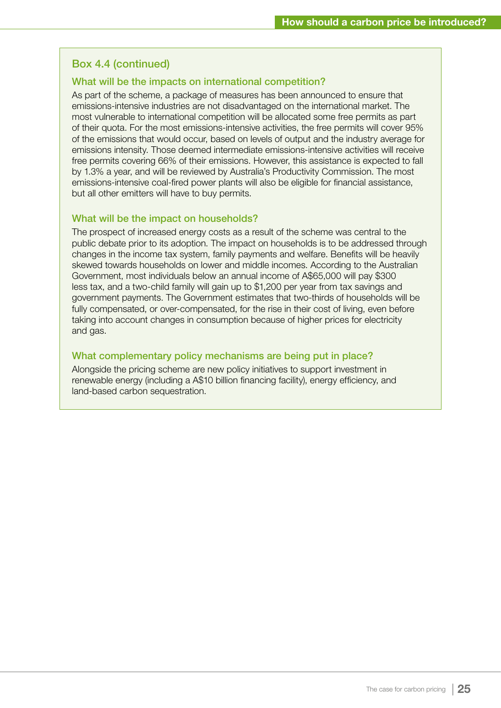### Box 4.4 (continued)

#### What will be the impacts on international competition?

As part of the scheme, a package of measures has been announced to ensure that emissions-intensive industries are not disadvantaged on the international market. The most vulnerable to international competition will be allocated some free permits as part of their quota. For the most emissions-intensive activities, the free permits will cover 95% of the emissions that would occur, based on levels of output and the industry average for emissions intensity. Those deemed intermediate emissions-intensive activities will receive free permits covering 66% of their emissions. However, this assistance is expected to fall by 1.3% a year, and will be reviewed by Australia's Productivity Commission. The most emissions-intensive coal-fired power plants will also be eligible for financial assistance, but all other emitters will have to buy permits.

#### What will be the impact on households?

The prospect of increased energy costs as a result of the scheme was central to the public debate prior to its adoption. The impact on households is to be addressed through changes in the income tax system, family payments and welfare. Benefits will be heavily skewed towards households on lower and middle incomes. According to the Australian Government, most individuals below an annual income of A\$65,000 will pay \$300 less tax, and a two-child family will gain up to \$1,200 per year from tax savings and government payments. The Government estimates that two-thirds of households will be fully compensated, or over-compensated, for the rise in their cost of living, even before taking into account changes in consumption because of higher prices for electricity and gas.

#### What complementary policy mechanisms are being put in place?

Alongside the pricing scheme are new policy initiatives to support investment in renewable energy (including a A\$10 billion financing facility), energy efficiency, and land-based carbon sequestration.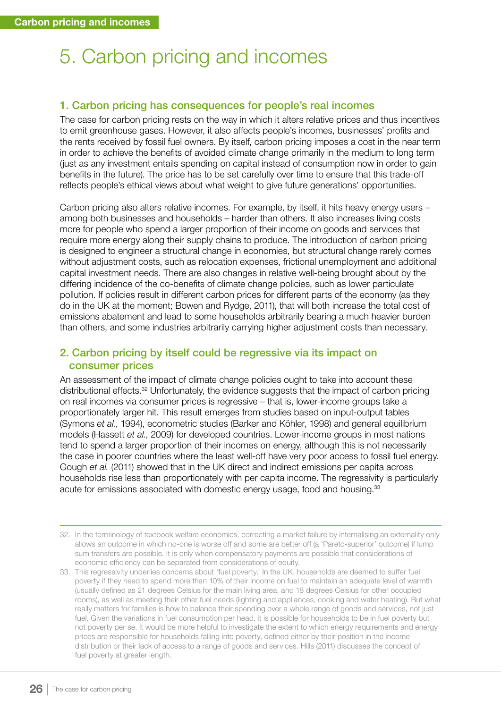# 5. Carbon pricing and incomes

#### 1. Carbon pricing has consequences for people's real incomes

The case for carbon pricing rests on the way in which it alters relative prices and thus incentives to emit greenhouse gases. However, it also affects people's incomes, businesses' profits and the rents received by fossil fuel owners. By itself, carbon pricing imposes a cost in the near term in order to achieve the benefits of avoided climate change primarily in the medium to long term (just as any investment entails spending on capital instead of consumption now in order to gain benefits in the future). The price has to be set carefully over time to ensure that this trade-off reflects people's ethical views about what weight to give future generations' opportunities.

Carbon pricing also alters relative incomes. For example, by itself, it hits heavy energy users – among both businesses and households – harder than others. It also increases living costs more for people who spend a larger proportion of their income on goods and services that require more energy along their supply chains to produce. The introduction of carbon pricing is designed to engineer a structural change in economies, but structural change rarely comes without adjustment costs, such as relocation expenses, frictional unemployment and additional capital investment needs. There are also changes in relative well-being brought about by the differing incidence of the co-benefits of climate change policies, such as lower particulate pollution. If policies result in different carbon prices for different parts of the economy (as they do in the UK at the moment; Bowen and Rydge, 2011), that will both increase the total cost of emissions abatement and lead to some households arbitrarily bearing a much heavier burden than others, and some industries arbitrarily carrying higher adjustment costs than necessary.

### 2. Carbon pricing by itself could be regressive via its impact on consumer prices

An assessment of the impact of climate change policies ought to take into account these distributional effects.32 Unfortunately, the evidence suggests that the impact of carbon pricing on real incomes via consumer prices is regressive – that is, lower-income groups take a proportionately larger hit. This result emerges from studies based on input-output tables (Symons *et al.*, 1994), econometric studies (Barker and Köhler, 1998) and general equilibrium models (Hassett *et al.*, 2009) for developed countries. Lower-income groups in most nations tend to spend a larger proportion of their incomes on energy, although this is not necessarily the case in poorer countries where the least well-off have very poor access to fossil fuel energy. Gough *et al.* (2011) showed that in the UK direct and indirect emissions per capita across households rise less than proportionately with per capita income. The regressivity is particularly acute for emissions associated with domestic energy usage, food and housing.<sup>33</sup>

<sup>32.</sup> In the terminology of textbook welfare economics, correcting a market failure by internalising an externality only allows an outcome in which no-one is worse off and some are better off (a 'Pareto-superior' outcome) if lump sum transfers are possible. It is only when compensatory payments are possible that considerations of economic efficiency can be separated from considerations of equity.

<sup>33.</sup> This regressivity underlies concerns about 'fuel poverty.' In the UK, households are deemed to suffer fuel poverty if they need to spend more than 10% of their income on fuel to maintain an adequate level of warmth (usually defined as 21 degrees Celsius for the main living area, and 18 degrees Celsius for other occupied rooms), as well as meeting their other fuel needs (lighting and appliances, cooking and water heating). But what really matters for families is how to balance their spending over a whole range of goods and services, not just fuel. Given the variations in fuel consumption per head, it is possible for households to be in fuel poverty but not poverty per se. It would be more helpful to investigate the extent to which energy requirements and energy prices are responsible for households falling into poverty, defined either by their position in the income distribution or their lack of access to a range of goods and services. Hills (2011) discusses the concept of fuel poverty at greater length.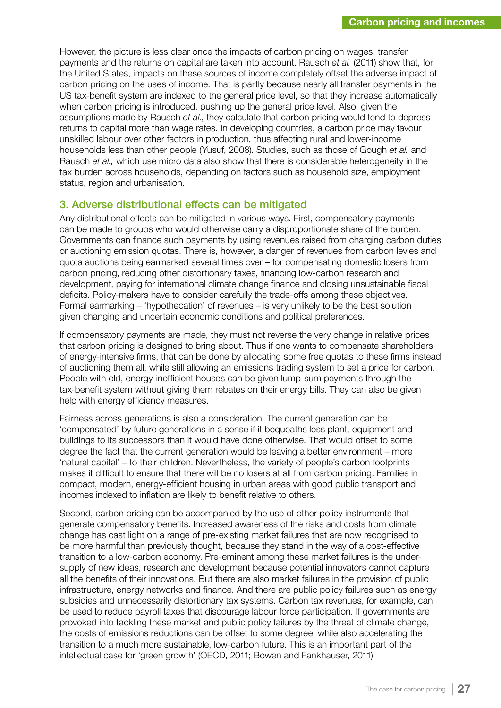However, the picture is less clear once the impacts of carbon pricing on wages, transfer payments and the returns on capital are taken into account. Rausch *et al.* (2011) show that, for the United States, impacts on these sources of income completely offset the adverse impact of carbon pricing on the uses of income. That is partly because nearly all transfer payments in the US tax-benefit system are indexed to the general price level, so that they increase automatically when carbon pricing is introduced, pushing up the general price level. Also, given the assumptions made by Rausch *et al.*, they calculate that carbon pricing would tend to depress returns to capital more than wage rates. In developing countries, a carbon price may favour unskilled labour over other factors in production, thus affecting rural and lower-income households less than other people (Yusuf, 2008). Studies, such as those of Gough *et al.* and Rausch *et al.,* which use micro data also show that there is considerable heterogeneity in the tax burden across households, depending on factors such as household size, employment status, region and urbanisation.

#### 3. Adverse distributional effects can be mitigated

Any distributional effects can be mitigated in various ways. First, compensatory payments can be made to groups who would otherwise carry a disproportionate share of the burden. Governments can finance such payments by using revenues raised from charging carbon duties or auctioning emission quotas. There is, however, a danger of revenues from carbon levies and quota auctions being earmarked several times over – for compensating domestic losers from carbon pricing, reducing other distortionary taxes, financing low-carbon research and development, paying for international climate change finance and closing unsustainable fiscal deficits. Policy-makers have to consider carefully the trade-offs among these objectives. Formal earmarking – 'hypothecation' of revenues – is very unlikely to be the best solution given changing and uncertain economic conditions and political preferences.

If compensatory payments are made, they must not reverse the very change in relative prices that carbon pricing is designed to bring about. Thus if one wants to compensate shareholders of energy-intensive firms, that can be done by allocating some free quotas to these firms instead of auctioning them all, while still allowing an emissions trading system to set a price for carbon. People with old, energy-inefficient houses can be given lump-sum payments through the tax-benefit system without giving them rebates on their energy bills. They can also be given help with energy efficiency measures.

Fairness across generations is also a consideration. The current generation can be 'compensated' by future generations in a sense if it bequeaths less plant, equipment and buildings to its successors than it would have done otherwise. That would offset to some degree the fact that the current generation would be leaving a better environment – more 'natural capital' – to their children. Nevertheless, the variety of people's carbon footprints makes it difficult to ensure that there will be no losers at all from carbon pricing. Families in compact, modern, energy-efficient housing in urban areas with good public transport and incomes indexed to inflation are likely to benefit relative to others.

Second, carbon pricing can be accompanied by the use of other policy instruments that generate compensatory benefits. Increased awareness of the risks and costs from climate change has cast light on a range of pre-existing market failures that are now recognised to be more harmful than previously thought, because they stand in the way of a cost-effective transition to a low-carbon economy. Pre-eminent among these market failures is the undersupply of new ideas, research and development because potential innovators cannot capture all the benefits of their innovations. But there are also market failures in the provision of public infrastructure, energy networks and finance. And there are public policy failures such as energy subsidies and unnecessarily distortionary tax systems. Carbon tax revenues, for example, can be used to reduce payroll taxes that discourage labour force participation. If governments are provoked into tackling these market and public policy failures by the threat of climate change, the costs of emissions reductions can be offset to some degree, while also accelerating the transition to a much more sustainable, low-carbon future. This is an important part of the intellectual case for 'green growth' (OECD, 2011; Bowen and Fankhauser, 2011).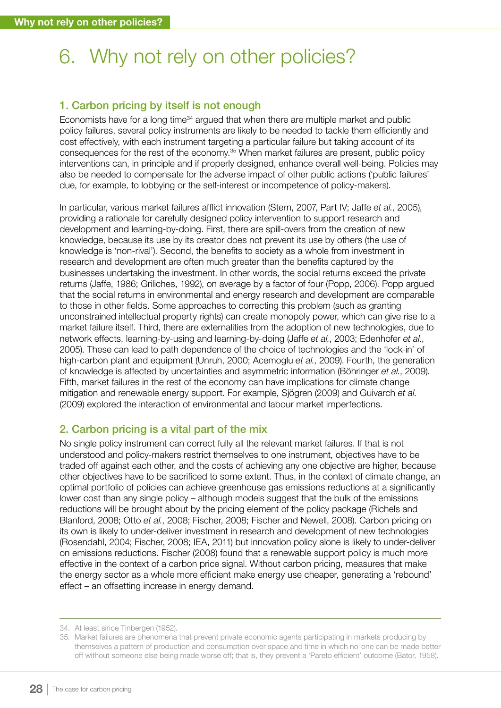# 6. Why not rely on other policies?

# 1. Carbon pricing by itself is not enough

Economists have for a long time<sup>34</sup> argued that when there are multiple market and public policy failures, several policy instruments are likely to be needed to tackle them efficiently and cost effectively, with each instrument targeting a particular failure but taking account of its consequences for the rest of the economy.<sup>35</sup> When market failures are present, public policy interventions can, in principle and if properly designed, enhance overall well-being. Policies may also be needed to compensate for the adverse impact of other public actions ('public failures' due, for example, to lobbying or the self-interest or incompetence of policy-makers).

In particular, various market failures afflict innovation (Stern, 2007, Part IV; Jaffe *et al.*, 2005), providing a rationale for carefully designed policy intervention to support research and development and learning-by-doing. First, there are spill-overs from the creation of new knowledge, because its use by its creator does not prevent its use by others (the use of knowledge is 'non-rival'). Second, the benefits to society as a whole from investment in research and development are often much greater than the benefits captured by the businesses undertaking the investment. In other words, the social returns exceed the private returns (Jaffe, 1986; Griliches, 1992), on average by a factor of four (Popp, 2006). Popp argued that the social returns in environmental and energy research and development are comparable to those in other fields. Some approaches to correcting this problem (such as granting unconstrained intellectual property rights) can create monopoly power, which can give rise to a market failure itself. Third, there are externalities from the adoption of new technologies, due to network effects, learning-by-using and learning-by-doing (Jaffe *et al.*, 2003; Edenhofer *et al.*, 2005). These can lead to path dependence of the choice of technologies and the 'lock-in' of high-carbon plant and equipment (Unruh, 2000; Acemoglu *et al.*, 2009). Fourth, the generation of knowledge is affected by uncertainties and asymmetric information (Böhringer *et al.*, 2009). Fifth, market failures in the rest of the economy can have implications for climate change mitigation and renewable energy support. For example, Sjögren (2009) and Guivarch *et al*. (2009) explored the interaction of environmental and labour market imperfections.

# 2. Carbon pricing is a vital part of the mix

No single policy instrument can correct fully all the relevant market failures. If that is not understood and policy-makers restrict themselves to one instrument, objectives have to be traded off against each other, and the costs of achieving any one objective are higher, because other objectives have to be sacrificed to some extent. Thus, in the context of climate change, an optimal portfolio of policies can achieve greenhouse gas emissions reductions at a significantly lower cost than any single policy – although models suggest that the bulk of the emissions reductions will be brought about by the pricing element of the policy package (Richels and Blanford, 2008; Otto *et al.*, 2008; Fischer, 2008; Fischer and Newell, 2008). Carbon pricing on its own is likely to under-deliver investment in research and development of new technologies (Rosendahl, 2004; Fischer, 2008; IEA, 2011) but innovation policy alone is likely to under-deliver on emissions reductions. Fischer (2008) found that a renewable support policy is much more effective in the context of a carbon price signal. Without carbon pricing, measures that make the energy sector as a whole more efficient make energy use cheaper, generating a 'rebound' effect – an offsetting increase in energy demand.

<sup>34.</sup> At least since Tinbergen (1952).

<sup>35.</sup> Market failures are phenomena that prevent private economic agents participating in markets producing by themselves a pattern of production and consumption over space and time in which no-one can be made better off without someone else being made worse off; that is, they prevent a 'Pareto efficient' outcome (Bator, 1958).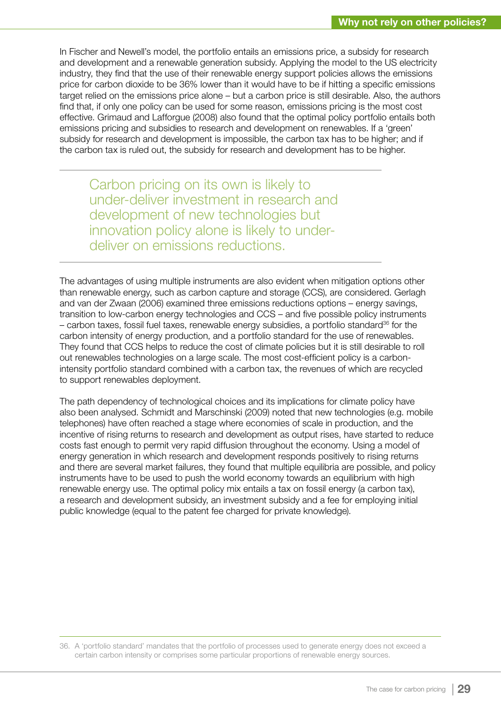In Fischer and Newell's model, the portfolio entails an emissions price, a subsidy for research and development and a renewable generation subsidy. Applying the model to the US electricity industry, they find that the use of their renewable energy support policies allows the emissions price for carbon dioxide to be 36% lower than it would have to be if hitting a specific emissions target relied on the emissions price alone – but a carbon price is still desirable. Also, the authors find that, if only one policy can be used for some reason, emissions pricing is the most cost effective. Grimaud and Lafforgue (2008) also found that the optimal policy portfolio entails both emissions pricing and subsidies to research and development on renewables. If a 'green' subsidy for research and development is impossible, the carbon tax has to be higher; and if the carbon tax is ruled out, the subsidy for research and development has to be higher.

Carbon pricing on its own is likely to under-deliver investment in research and development of new technologies but innovation policy alone is likely to underdeliver on emissions reductions.

The advantages of using multiple instruments are also evident when mitigation options other than renewable energy, such as carbon capture and storage (CCS), are considered. Gerlagh and van der Zwaan (2006) examined three emissions reductions options – energy savings, transition to low-carbon energy technologies and CCS – and five possible policy instruments  $-$  carbon taxes, fossil fuel taxes, renewable energy subsidies, a portfolio standard<sup>36</sup> for the carbon intensity of energy production, and a portfolio standard for the use of renewables. They found that CCS helps to reduce the cost of climate policies but it is still desirable to roll out renewables technologies on a large scale. The most cost-efficient policy is a carbonintensity portfolio standard combined with a carbon tax, the revenues of which are recycled to support renewables deployment.

The path dependency of technological choices and its implications for climate policy have also been analysed. Schmidt and Marschinski (2009) noted that new technologies (e.g. mobile telephones) have often reached a stage where economies of scale in production, and the incentive of rising returns to research and development as output rises, have started to reduce costs fast enough to permit very rapid diffusion throughout the economy. Using a model of energy generation in which research and development responds positively to rising returns and there are several market failures, they found that multiple equilibria are possible, and policy instruments have to be used to push the world economy towards an equilibrium with high renewable energy use. The optimal policy mix entails a tax on fossil energy (a carbon tax), a research and development subsidy, an investment subsidy and a fee for employing initial public knowledge (equal to the patent fee charged for private knowledge).

36. A 'portfolio standard' mandates that the portfolio of processes used to generate energy does not exceed a certain carbon intensity or comprises some particular proportions of renewable energy sources.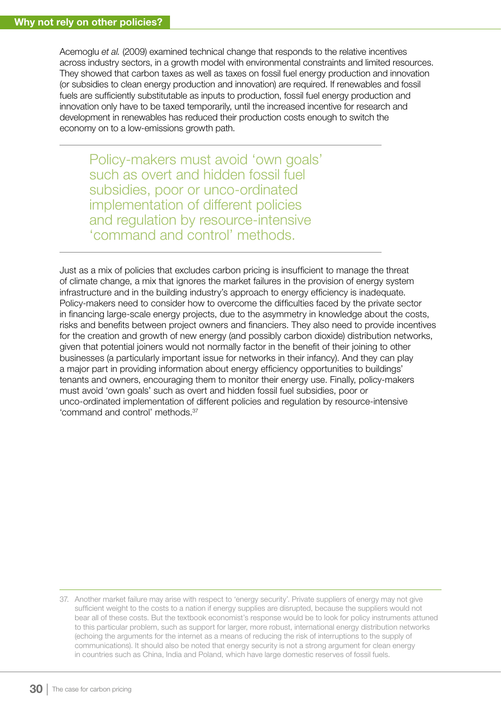Acemoglu *et al.* (2009) examined technical change that responds to the relative incentives across industry sectors, in a growth model with environmental constraints and limited resources. They showed that carbon taxes as well as taxes on fossil fuel energy production and innovation (or subsidies to clean energy production and innovation) are required. If renewables and fossil fuels are sufficiently substitutable as inputs to production, fossil fuel energy production and innovation only have to be taxed temporarily, until the increased incentive for research and development in renewables has reduced their production costs enough to switch the economy on to a low-emissions growth path.

Policy-makers must avoid 'own goals' such as overt and hidden fossil fuel subsidies, poor or unco-ordinated implementation of different policies and regulation by resource-intensive 'command and control' methods.

Just as a mix of policies that excludes carbon pricing is insufficient to manage the threat of climate change, a mix that ignores the market failures in the provision of energy system infrastructure and in the building industry's approach to energy efficiency is inadequate. Policy-makers need to consider how to overcome the difficulties faced by the private sector in financing large-scale energy projects, due to the asymmetry in knowledge about the costs, risks and benefits between project owners and financiers. They also need to provide incentives for the creation and growth of new energy (and possibly carbon dioxide) distribution networks, given that potential joiners would not normally factor in the benefit of their joining to other businesses (a particularly important issue for networks in their infancy). And they can play a major part in providing information about energy efficiency opportunities to buildings' tenants and owners, encouraging them to monitor their energy use. Finally, policy-makers must avoid 'own goals' such as overt and hidden fossil fuel subsidies, poor or unco-ordinated implementation of different policies and regulation by resource-intensive 'command and control' methods.37

<sup>37.</sup> Another market failure may arise with respect to 'energy security'. Private suppliers of energy may not give sufficient weight to the costs to a nation if energy supplies are disrupted, because the suppliers would not bear all of these costs. But the textbook economist's response would be to look for policy instruments attuned to this particular problem, such as support for larger, more robust, international energy distribution networks (echoing the arguments for the internet as a means of reducing the risk of interruptions to the supply of communications). It should also be noted that energy security is not a strong argument for clean energy in countries such as China, India and Poland, which have large domestic reserves of fossil fuels.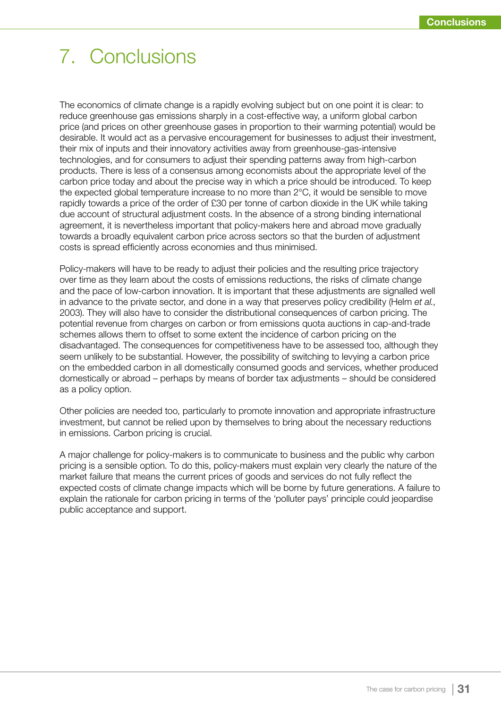# 7. Conclusions

The economics of climate change is a rapidly evolving subject but on one point it is clear: to reduce greenhouse gas emissions sharply in a cost-effective way, a uniform global carbon price (and prices on other greenhouse gases in proportion to their warming potential) would be desirable. It would act as a pervasive encouragement for businesses to adjust their investment, their mix of inputs and their innovatory activities away from greenhouse-gas-intensive technologies, and for consumers to adjust their spending patterns away from high-carbon products. There is less of a consensus among economists about the appropriate level of the carbon price today and about the precise way in which a price should be introduced. To keep the expected global temperature increase to no more than 2°C, it would be sensible to move rapidly towards a price of the order of £30 per tonne of carbon dioxide in the UK while taking due account of structural adjustment costs. In the absence of a strong binding international agreement, it is nevertheless important that policy-makers here and abroad move gradually towards a broadly equivalent carbon price across sectors so that the burden of adjustment costs is spread efficiently across economies and thus minimised.

Policy-makers will have to be ready to adjust their policies and the resulting price trajectory over time as they learn about the costs of emissions reductions, the risks of climate change and the pace of low-carbon innovation. It is important that these adjustments are signalled well in advance to the private sector, and done in a way that preserves policy credibility (Helm *et al.*, 2003). They will also have to consider the distributional consequences of carbon pricing. The potential revenue from charges on carbon or from emissions quota auctions in cap-and-trade schemes allows them to offset to some extent the incidence of carbon pricing on the disadvantaged. The consequences for competitiveness have to be assessed too, although they seem unlikely to be substantial. However, the possibility of switching to levying a carbon price on the embedded carbon in all domestically consumed goods and services, whether produced domestically or abroad – perhaps by means of border tax adjustments – should be considered as a policy option.

Other policies are needed too, particularly to promote innovation and appropriate infrastructure investment, but cannot be relied upon by themselves to bring about the necessary reductions in emissions. Carbon pricing is crucial.

A major challenge for policy-makers is to communicate to business and the public why carbon pricing is a sensible option. To do this, policy-makers must explain very clearly the nature of the market failure that means the current prices of goods and services do not fully reflect the expected costs of climate change impacts which will be borne by future generations. A failure to explain the rationale for carbon pricing in terms of the 'polluter pays' principle could jeopardise public acceptance and support.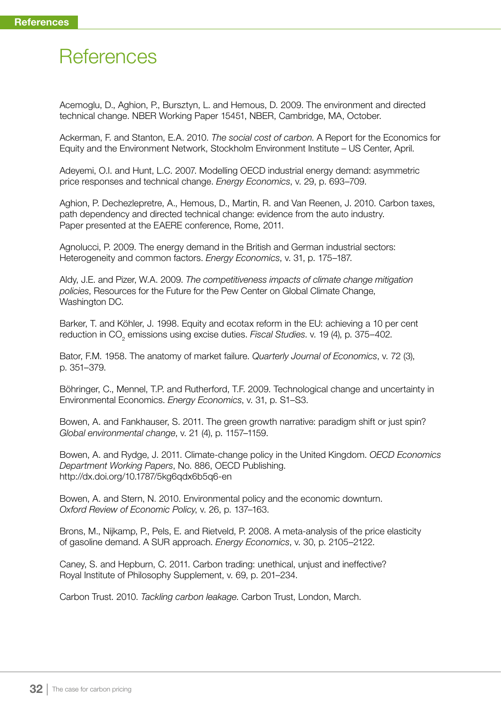# **References**

Acemoglu, D., Aghion, P., Bursztyn, L. and Hemous, D. 2009. The environment and directed technical change. NBER Working Paper 15451, NBER, Cambridge, MA, October.

Ackerman, F. and Stanton, E.A. 2010. *The social cost of carbon*. A Report for the Economics for Equity and the Environment Network, Stockholm Environment Institute – US Center, April.

Adeyemi, O.I. and Hunt, L.C. 2007. Modelling OECD industrial energy demand: asymmetric price responses and technical change. *Energy Economics*, v. 29, p. 693–709.

Aghion, P. Dechezlepretre, A., Hemous, D., Martin, R. and Van Reenen, J. 2010. Carbon taxes, path dependency and directed technical change: evidence from the auto industry. Paper presented at the EAERE conference, Rome, 2011.

Agnolucci, P. 2009. The energy demand in the British and German industrial sectors: Heterogeneity and common factors. *Energy Economics*, v. 31, p. 175–187.

Aldy, J.E. and Pizer, W.A. 2009. *The competitiveness impacts of climate change mitigation policies*, Resources for the Future for the Pew Center on Global Climate Change, Washington DC.

Barker, T. and Köhler, J. 1998. Equity and ecotax reform in the EU: achieving a 10 per cent reduction in CO<sub>2</sub> emissions using excise duties. *Fiscal Studies*. v. 19 (4), p. 375–402.

Bator, F.M. 1958. The anatomy of market failure. *Quarterly Journal of Economics*, v. 72 (3), p. 351–379.

Böhringer, C., Mennel, T.P. and Rutherford, T.F. 2009. Technological change and uncertainty in Environmental Economics. *Energy Economics*, v. 31, p. S1–S3.

Bowen, A. and Fankhauser, S. 2011. The green growth narrative: paradigm shift or just spin? *Global environmental change*, v. 21 (4), p. 1157–1159.

Bowen, A. and Rydge, J. 2011. Climate-change policy in the United Kingdom. *OECD Economics Department Working Papers*, No. 886, OECD Publishing. http://dx.doi.org/10.1787/5kg6qdx6b5q6-en

Bowen, A. and Stern, N. 2010. Environmental policy and the economic downturn. *Oxford Review of Economic Policy*, v. 26, p. 137–163.

Brons, M., Nijkamp, P., Pels, E. and Rietveld, P. 2008. A meta-analysis of the price elasticity of gasoline demand. A SUR approach. *Energy Economics*, v. 30, p. 2105–2122.

Caney, S. and Hepburn, C. 2011. Carbon trading: unethical, unjust and ineffective? Royal Institute of Philosophy Supplement, v. 69, p. 201–234.

Carbon Trust. 2010. *Tackling carbon leakage*. Carbon Trust, London, March.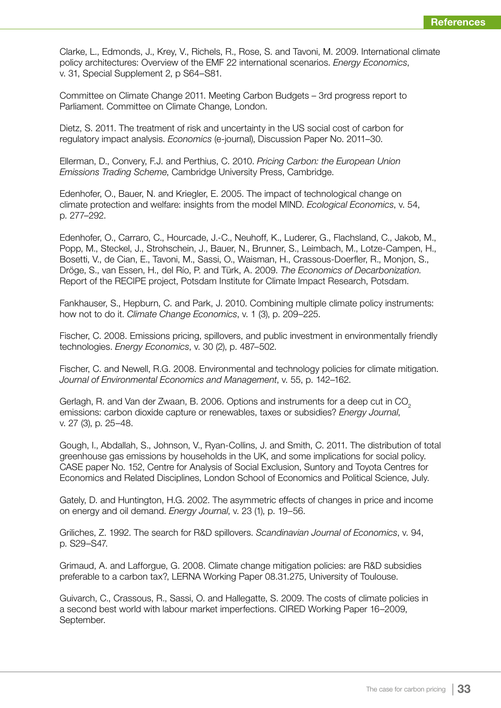Clarke, L., Edmonds, J., Krey, V., Richels, R., Rose, S. and Tavoni, M. 2009. International climate policy architectures: Overview of the EMF 22 international scenarios. *Energy Economics*, v. 31, Special Supplement 2, p S64–S81.

Committee on Climate Change 2011. Meeting Carbon Budgets – 3rd progress report to Parliament. Committee on Climate Change, London.

Dietz, S. 2011. The treatment of risk and uncertainty in the US social cost of carbon for regulatory impact analysis. *Economics* (e-journal), Discussion Paper No. 2011–30.

Ellerman, D., Convery, F.J. and Perthius, C. 2010. *Pricing Carbon: the European Union Emissions Trading Scheme*, Cambridge University Press, Cambridge.

Edenhofer, O., Bauer, N. and Kriegler, E. 2005. The impact of technological change on climate protection and welfare: insights from the model MIND. *Ecological Economics*, v. 54, p. 277–292.

Edenhofer, O., Carraro, C., Hourcade, J.-C., Neuhoff, K., Luderer, G., Flachsland, C., Jakob, M., Popp, M., Steckel, J., Strohschein, J., Bauer, N., Brunner, S., Leimbach, M., Lotze-Campen, H., Bosetti, V., de Cian, E., Tavoni, M., Sassi, O., Waisman, H., Crassous-Doerfler, R., Monjon, S., Dröge, S., van Essen, H., del Río, P. and Türk, A. 2009. *The Economics of Decarbonization*. Report of the RECIPE project, Potsdam Institute for Climate Impact Research, Potsdam.

Fankhauser, S., Hepburn, C. and Park, J. 2010. Combining multiple climate policy instruments: how not to do it. *Climate Change Economics*, v. 1 (3), p. 209–225.

Fischer, C. 2008. Emissions pricing, spillovers, and public investment in environmentally friendly technologies. *Energy Economics*, v. 30 (2), p. 487–502.

Fischer, C. and Newell, R.G. 2008. Environmental and technology policies for climate mitigation. *Journal of Environmental Economics and Management*, v. 55, p. 142–162.

Gerlagh, R. and Van der Zwaan, B. 2006. Options and instruments for a deep cut in CO<sub>2</sub> emissions: carbon dioxide capture or renewables, taxes or subsidies? *Energy Journal*, v. 27 (3), p. 25–48.

Gough, I., Abdallah, S., Johnson, V., Ryan-Collins, J. and Smith, C. 2011. The distribution of total greenhouse gas emissions by households in the UK, and some implications for social policy. CASE paper No. 152, Centre for Analysis of Social Exclusion, Suntory and Toyota Centres for Economics and Related Disciplines, London School of Economics and Political Science, July.

Gately, D. and Huntington, H.G. 2002. The asymmetric effects of changes in price and income on energy and oil demand. *Energy Journal*, v. 23 (1), p. 19–56.

Griliches, Z. 1992. The search for R&D spillovers. *Scandinavian Journal of Economics*, v. 94, p. S29–S47.

Grimaud, A. and Lafforgue, G. 2008. Climate change mitigation policies: are R&D subsidies preferable to a carbon tax?, LERNA Working Paper 08.31.275, University of Toulouse.

Guivarch, C., Crassous, R., Sassi, O. and Hallegatte, S. 2009. The costs of climate policies in a second best world with labour market imperfections. CIRED Working Paper 16–2009, September.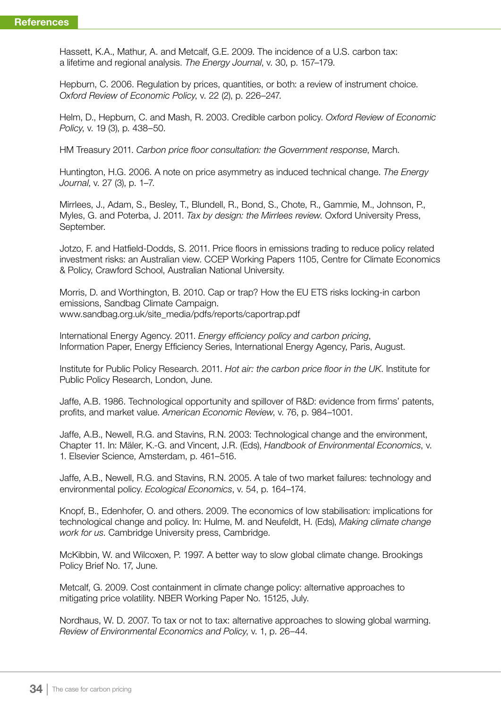Hassett, K.A., Mathur, A. and Metcalf, G.E. 2009. The incidence of a U.S. carbon tax: a lifetime and regional analysis. *The Energy Journal*, v. 30, p. 157–179.

Hepburn, C. 2006. Regulation by prices, quantities, or both: a review of instrument choice. *Oxford Review of Economic Policy*, v. 22 (2), p. 226–247.

Helm, D., Hepburn, C. and Mash, R. 2003. Credible carbon policy. *Oxford Review of Economic Policy*, v. 19 (3), p. 438–50.

HM Treasury 2011. *Carbon price floor consultation: the Government response*, March.

Huntington, H.G. 2006. A note on price asymmetry as induced technical change. *The Energy Journal*, v. 27 (3), p. 1–7.

Mirrlees, J., Adam, S., Besley, T., Blundell, R., Bond, S., Chote, R., Gammie, M., Johnson, P., Myles, G. and Poterba, J. 2011. *Tax by design: the Mirrlees review*. Oxford University Press, September.

Jotzo, F. and Hatfield-Dodds, S. 2011. Price floors in emissions trading to reduce policy related investment risks: an Australian view. CCEP Working Papers 1105, Centre for Climate Economics & Policy, Crawford School, Australian National University.

Morris, D. and Worthington, B. 2010. Cap or trap? How the EU ETS risks locking-in carbon emissions, Sandbag Climate Campaign. www.sandbag.org.uk/site\_media/pdfs/reports/caportrap.pdf

International Energy Agency. 2011. *Energy efficiency policy and carbon pricing*, Information Paper, Energy Efficiency Series, International Energy Agency, Paris, August.

Institute for Public Policy Research. 2011. *Hot air: the carbon price floor in the UK*. Institute for Public Policy Research, London, June.

Jaffe, A.B. 1986. Technological opportunity and spillover of R&D: evidence from firms' patents, profits, and market value. *American Economic Review*, v. 76, p. 984–1001.

Jaffe, A.B., Newell, R.G. and Stavins, R.N. 2003: Technological change and the environment, Chapter 11. In: Mäler, K.-G. and Vincent, J.R. (Eds), *Handbook of Environmental Economics*, v. 1. Elsevier Science, Amsterdam, p. 461–516.

Jaffe, A.B., Newell, R.G. and Stavins, R.N. 2005. A tale of two market failures: technology and environmental policy. *Ecological Economics*, v. 54, p. 164–174.

Knopf, B., Edenhofer, O. and others. 2009. The economics of low stabilisation: implications for technological change and policy. In: Hulme, M. and Neufeldt, H. (Eds), *Making climate change work for us*. Cambridge University press, Cambridge.

McKibbin, W. and Wilcoxen, P. 1997. A better way to slow global climate change. Brookings Policy Brief No. 17, June.

Metcalf, G. 2009. Cost containment in climate change policy: alternative approaches to mitigating price volatility. NBER Working Paper No. 15125, July.

Nordhaus, W. D. 2007. To tax or not to tax: alternative approaches to slowing global warming. *Review of Environmental Economics and Policy*, v. 1, p. 26–44.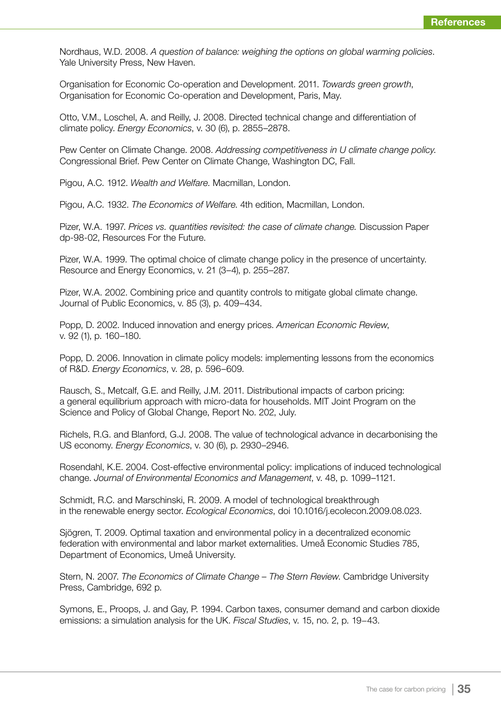Nordhaus, W.D. 2008. *A question of balance: weighing the options on global warming policies*. Yale University Press, New Haven.

Organisation for Economic Co-operation and Development. 2011. *Towards green growth*, Organisation for Economic Co-operation and Development, Paris, May.

Otto, V.M., Loschel, A. and Reilly, J. 2008. Directed technical change and differentiation of climate policy. *Energy Economics*, v. 30 (6), p. 2855–2878.

Pew Center on Climate Change. 2008. *Addressing competitiveness in U climate change policy*. Congressional Brief. Pew Center on Climate Change, Washington DC, Fall.

Pigou, A.C. 1912. *Wealth and Welfare*. Macmillan, London.

Pigou, A.C. 1932. *The Economics of Welfare*. 4th edition, Macmillan, London.

Pizer, W.A. 1997. *Prices vs. quantities revisited: the case of climate change.* Discussion Paper dp-98-02, Resources For the Future.

Pizer, W.A. 1999. The optimal choice of climate change policy in the presence of uncertainty. Resource and Energy Economics, v. 21 (3–4), p. 255–287.

Pizer, W.A. 2002. Combining price and quantity controls to mitigate global climate change. Journal of Public Economics, v. 85 (3), p. 409–434.

Popp, D. 2002. Induced innovation and energy prices. *American Economic Review*, v. 92 (1), p. 160–180.

Popp, D. 2006. Innovation in climate policy models: implementing lessons from the economics of R&D. *Energy Economics*, v. 28, p. 596–609.

Rausch, S., Metcalf, G.E. and Reilly, J.M. 2011. Distributional impacts of carbon pricing: a general equilibrium approach with micro-data for households. MIT Joint Program on the Science and Policy of Global Change, Report No. 202, July.

Richels, R.G. and Blanford, G.J. 2008. The value of technological advance in decarbonising the US economy. *Energy Economics*, v. 30 (6), p. 2930–2946.

Rosendahl, K.E. 2004. Cost-effective environmental policy: implications of induced technological change. *Journal of Environmental Economics and Management*, v. 48, p. 1099–1121.

Schmidt, R.C. and Marschinski, R. 2009. A model of technological breakthrough in the renewable energy sector. *Ecological Economics*, doi 10.1016/j.ecolecon.2009.08.023.

Sjögren, T. 2009. Optimal taxation and environmental policy in a decentralized economic federation with environmental and labor market externalities. Umeå Economic Studies 785, Department of Economics, Umeå University.

Stern, N. 2007. *The Economics of Climate Change – The Stern Review*. Cambridge University Press, Cambridge, 692 p.

Symons, E., Proops, J. and Gay, P. 1994. Carbon taxes, consumer demand and carbon dioxide emissions: a simulation analysis for the UK. *Fiscal Studies*, v. 15, no. 2, p. 19−43.